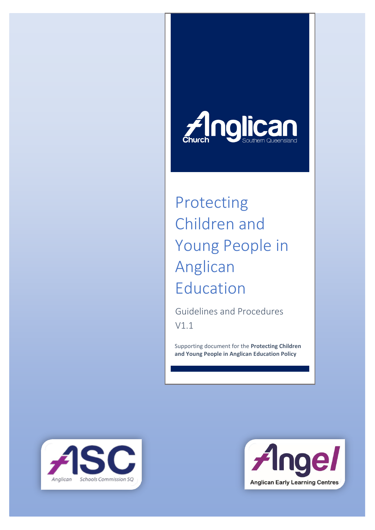

# Protecting Children and Young People in Anglican Education

Guidelines and Procedures V1.1

Supporting document for the **Protecting Children and Young People in Anglican Education Policy**



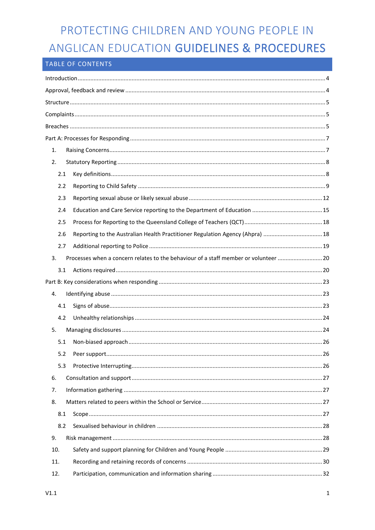#### TABLE OF CONTENTS

| 1.  |     |                                                                                      |  |
|-----|-----|--------------------------------------------------------------------------------------|--|
| 2.  |     |                                                                                      |  |
|     | 2.1 |                                                                                      |  |
|     | 2.2 |                                                                                      |  |
|     | 2.3 |                                                                                      |  |
|     | 2.4 |                                                                                      |  |
|     | 2.5 |                                                                                      |  |
|     | 2.6 | Reporting to the Australian Health Practitioner Regulation Agency (Ahpra)  18        |  |
|     | 2.7 |                                                                                      |  |
| 3.  |     | Processes when a concern relates to the behaviour of a staff member or volunteer  20 |  |
|     | 3.1 |                                                                                      |  |
|     |     |                                                                                      |  |
| 4.  |     |                                                                                      |  |
|     | 4.1 |                                                                                      |  |
|     | 4.2 |                                                                                      |  |
| 5.  |     |                                                                                      |  |
|     | 5.1 |                                                                                      |  |
|     |     |                                                                                      |  |
|     | 5.3 |                                                                                      |  |
| 6.  |     |                                                                                      |  |
| 7.  |     |                                                                                      |  |
| 8.  |     |                                                                                      |  |
|     | 8.1 |                                                                                      |  |
|     | 8.2 |                                                                                      |  |
| 9.  |     |                                                                                      |  |
| 10. |     |                                                                                      |  |
| 11. |     |                                                                                      |  |
| 12. |     |                                                                                      |  |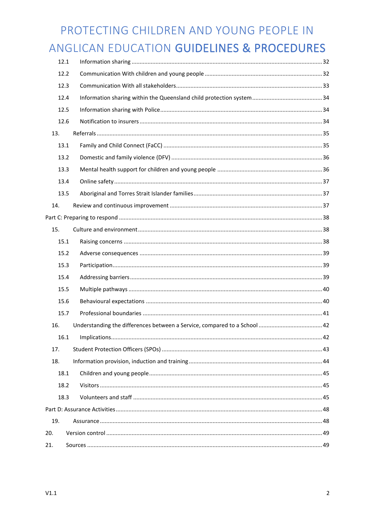| 12.1 |  |  |  |
|------|--|--|--|
| 12.2 |  |  |  |
| 12.3 |  |  |  |
| 12.4 |  |  |  |
| 12.5 |  |  |  |
| 12.6 |  |  |  |
| 13.  |  |  |  |
| 13.1 |  |  |  |
| 13.2 |  |  |  |
| 13.3 |  |  |  |
| 13.4 |  |  |  |
| 13.5 |  |  |  |
| 14.  |  |  |  |
|      |  |  |  |
| 15.  |  |  |  |
| 15.1 |  |  |  |
| 15.2 |  |  |  |
| 15.3 |  |  |  |
| 15.4 |  |  |  |
| 15.5 |  |  |  |
| 15.6 |  |  |  |
| 15.7 |  |  |  |
| 16.  |  |  |  |
| 16.1 |  |  |  |
| 17.  |  |  |  |
| 18.  |  |  |  |
| 18.1 |  |  |  |
| 18.2 |  |  |  |
| 18.3 |  |  |  |
|      |  |  |  |
| 19.  |  |  |  |
| 20.  |  |  |  |
| 21.  |  |  |  |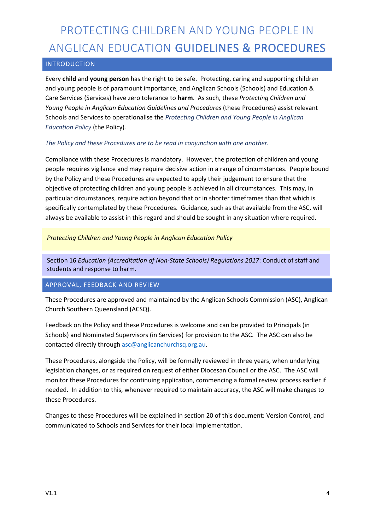#### INTRODUCTION

Every **child** and **young person** has the right to be safe. Protecting, caring and supporting children and young people is of paramount importance, and Anglican Schools (Schools) and Education & Care Services (Services) have zero tolerance to **harm**. As such, these *Protecting Children and Young People in Anglican Education Guidelines and Procedures* (these Procedures) assist relevant Schools and Services to operationalise the *Protecting Children and Young People in Anglican Education Policy* (the Policy)*.*

#### *The Policy and these Procedures are to be read in conjunction with one another.*

Compliance with these Procedures is mandatory. However, the protection of children and young people requires vigilance and may require decisive action in a range of circumstances. People bound by the Policy and these Procedures are expected to apply their judgement to ensure that the objective of protecting children and young people is achieved in all circumstances. This may, in particular circumstances, require action beyond that or in shorter timeframes than that which is specifically contemplated by these Procedures. Guidance, such as that available from the ASC, will always be available to assist in this regard and should be sought in any situation where required.

#### *Protecting Children and Young People in Anglican Education Policy*

Section 16 *Education (Accreditation of Non-State Schools) Regulations 2017*: Conduct of staff and students and response to harm.

#### APPROVAL, FEEDBACK AND REVIEW

These Procedures are approved and maintained by the Anglican Schools Commission (ASC), Anglican Church Southern Queensland (ACSQ).

Feedback on the Policy and these Procedures is welcome and can be provided to Principals (in Schools) and Nominated Supervisors (in Services) for provision to the ASC. The ASC can also be contacted directly through asc@anglicanchurchsq.org.au.

These Procedures, alongside the Policy, will be formally reviewed in three years, when underlying legislation changes, or as required on request of either Diocesan Council or the ASC. The ASC will monitor these Procedures for continuing application, commencing a formal review process earlier if needed. In addition to this, whenever required to maintain accuracy, the ASC will make changes to these Procedures.

Changes to these Procedures will be explained in section 20 of this document: Version Control, and communicated to Schools and Services for their local implementation.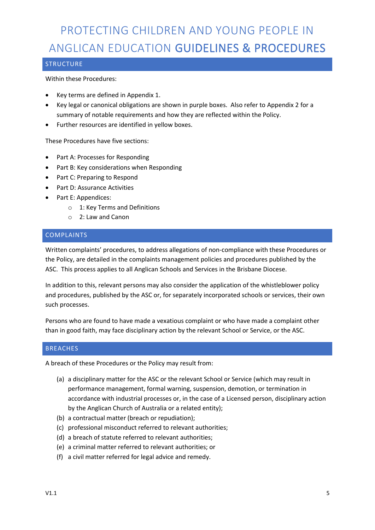#### **STRUCTURE**

Within these Procedures:

- Key terms are defined in Appendix 1.
- Key legal or canonical obligations are shown in purple boxes. Also refer to Appendix 2 for a summary of notable requirements and how they are reflected within the Policy.
- Further resources are identified in yellow boxes.

These Procedures have five sections:

- Part A: Processes for Responding
- Part B: Key considerations when Responding
- Part C: Preparing to Respond
- Part D: Assurance Activities
- Part E: Appendices:
	- o 1: Key Terms and Definitions
	- o 2: Law and Canon

#### COMPLAINTS

Written complaints' procedures, to address allegations of non-compliance with these Procedures or the Policy, are detailed in the complaints management policies and procedures published by the ASC. This process applies to all Anglican Schools and Services in the Brisbane Diocese.

In addition to this, relevant persons may also consider the application of the whistleblower policy and procedures, published by the ASC or, for separately incorporated schools or services, their own such processes.

Persons who are found to have made a vexatious complaint or who have made a complaint other than in good faith, may face disciplinary action by the relevant School or Service, or the ASC.

#### **BREACHES**

A breach of these Procedures or the Policy may result from:

- (a) a disciplinary matter for the ASC or the relevant School or Service (which may result in performance management, formal warning, suspension, demotion, or termination in accordance with industrial processes or, in the case of a Licensed person, disciplinary action by the Anglican Church of Australia or a related entity);
- (b) a contractual matter (breach or repudiation);
- (c) professional misconduct referred to relevant authorities;
- (d) a breach of statute referred to relevant authorities;
- (e) a criminal matter referred to relevant authorities; or
- (f) a civil matter referred for legal advice and remedy.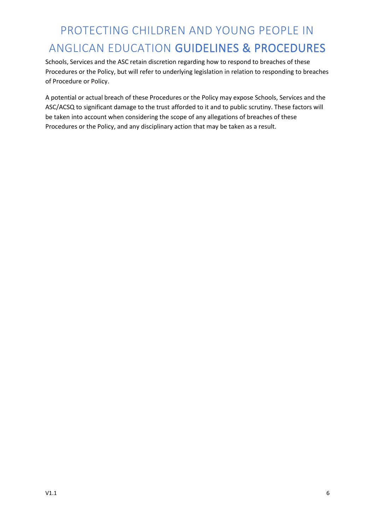Schools, Services and the ASC retain discretion regarding how to respond to breaches of these Procedures or the Policy, but will refer to underlying legislation in relation to responding to breaches of Procedure or Policy.

A potential or actual breach of these Procedures or the Policy may expose Schools, Services and the ASC/ACSQ to significant damage to the trust afforded to it and to public scrutiny. These factors will be taken into account when considering the scope of any allegations of breaches of these Procedures or the Policy, and any disciplinary action that may be taken as a result.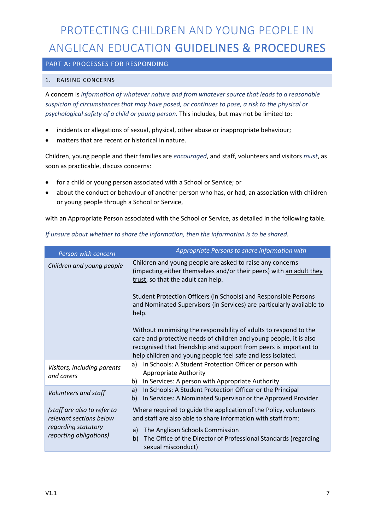#### PART A: PROCESSES FOR RESPONDING

#### 1. RAISING CONCERNS

A concern is *information of whatever nature and from whatever source that leads to a reasonable suspicion of circumstances that may have posed, or continues to pose, a risk to the physical or psychological safety of a child or young person.* This includes, but may not be limited to:

- incidents or allegations of sexual, physical, other abuse or inappropriate behaviour;
- matters that are recent or historical in nature.

Children, young people and their families are *encouraged*, and staff, volunteers and visitors *must*, as soon as practicable, discuss concerns:

- for a child or young person associated with a School or Service; or
- about the conduct or behaviour of another person who has, or had, an association with children or young people through a School or Service,

with an Appropriate Person associated with the School or Service, as detailed in the following table.

| Person with concern                                    | Appropriate Persons to share information with                                                                                                                                                                                                                               |
|--------------------------------------------------------|-----------------------------------------------------------------------------------------------------------------------------------------------------------------------------------------------------------------------------------------------------------------------------|
| Children and young people                              | Children and young people are asked to raise any concerns<br>(impacting either themselves and/or their peers) with an adult they<br>trust, so that the adult can help.                                                                                                      |
|                                                        | Student Protection Officers (in Schools) and Responsible Persons<br>and Nominated Supervisors (in Services) are particularly available to<br>help.                                                                                                                          |
|                                                        | Without minimising the responsibility of adults to respond to the<br>care and protective needs of children and young people, it is also<br>recognised that friendship and support from peers is important to<br>help children and young people feel safe and less isolated. |
| Visitors, including parents<br>and carers              | In Schools: A Student Protection Officer or person with<br>a)<br><b>Appropriate Authority</b><br>b)<br>In Services: A person with Appropriate Authority                                                                                                                     |
| Volunteers and staff                                   | In Schools: A Student Protection Officer or the Principal<br>a)<br>In Services: A Nominated Supervisor or the Approved Provider<br>b)                                                                                                                                       |
| (staff are also to refer to<br>relevant sections below | Where required to guide the application of the Policy, volunteers<br>and staff are also able to share information with staff from:                                                                                                                                          |
| regarding statutory<br>reporting obligations)          | The Anglican Schools Commission<br>a)<br>The Office of the Director of Professional Standards (regarding<br>b)<br>sexual misconduct)                                                                                                                                        |

#### *If unsure about whether to share the information, then the information is to be shared.*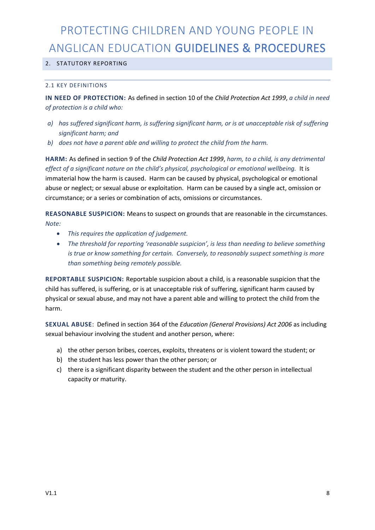#### 2. STATUTORY REPORTING

#### 2.1 KEY DEFINITIONS

**IN NEED OF PROTECTION:** As defined in section 10 of the *Child Protection Act 1999*, *a child in need of protection is a child who:*

- *a) has suffered significant harm, is suffering significant harm, or is at unacceptable risk of suffering significant harm; and*
- *b) does not have a parent able and willing to protect the child from the harm.*

**HARM:** As defined in section 9 of the *Child Protection Act 1999*, *harm, to a child, is any detrimental effect of a significant nature on the child's physical, psychological or emotional wellbeing.* It is immaterial how the harm is caused. Harm can be caused by physical, psychological or emotional abuse or neglect; or sexual abuse or exploitation. Harm can be caused by a single act, omission or circumstance; or a series or combination of acts, omissions or circumstances.

**REASONABLE SUSPICION:** Means to suspect on grounds that are reasonable in the circumstances. *Note:*

- *This requires the application of judgement.*
- *The threshold for reporting 'reasonable suspicion', is less than needing to believe something is true or know something for certain. Conversely, to reasonably suspect something is more than something being remotely possible.*

**REPORTABLE SUSPICION:** Reportable suspicion about a child, is a reasonable suspicion that the child has suffered, is suffering, or is at unacceptable risk of suffering, significant harm caused by physical or sexual abuse, and may not have a parent able and willing to protect the child from the harm.

**SEXUAL ABUSE**: Defined in section 364 of the *Education (General Provisions) Act 2006* as including sexual behaviour involving the student and another person, where:

- a) the other person bribes, coerces, exploits, threatens or is violent toward the student; or
- b) the student has less power than the other person; or
- c) there is a significant disparity between the student and the other person in intellectual capacity or maturity.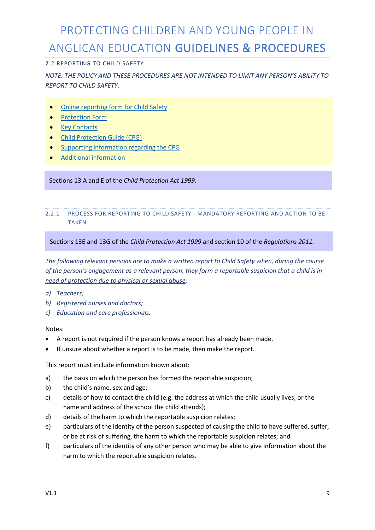#### 2.2 REPORTING TO CHILD SAFETY

#### *NOTE: THE POLICY AND THESE PROCEDURES ARE NOT INTENDED TO LIMIT ANY PERSON'S ABILITY TO REPORT TO CHILD SAFETY.*

- Online reporting form for Child Safety
- Protection Form
- Key Contacts
- Child Protection Guide (CPG)
- Supporting information regarding the CPG
- Additional information

#### Sections 13 A and E of the *Child Protection Act 1999.*

#### 2.2.1 PROCESS FOR REPORTING TO CHILD SAFETY - MANDATORY REPORTING AND ACTION TO BE **TAKEN**

#### Sections 13E and 13G of the *Child Protection Act 1999* and section 10 of the *Regulations 2011.*

*The following relevant persons are to make a written report to Child Safety when, during the course of the person's engagement as a relevant person, they form a reportable suspicion that a child is in need of protection due to physical or sexual abuse:*

- *a) Teachers;*
- *b) Registered nurses and doctors;*
- *c) Education and care professionals.*

#### Notes:

- A report is not required if the person knows a report has already been made.
- If unsure about whether a report is to be made, then make the report.

This report must include information known about:

- a) the basis on which the person has formed the reportable suspicion;
- b) the child's name, sex and age;
- c) details of how to contact the child (e.g. the address at which the child usually lives; or the name and address of the school the child attends);
- d) details of the harm to which the reportable suspicion relates;
- e) particulars of the identity of the person suspected of causing the child to have suffered, suffer, or be at risk of suffering, the harm to which the reportable suspicion relates; and
- f) particulars of the identity of any other person who may be able to give information about the harm to which the reportable suspicion relates.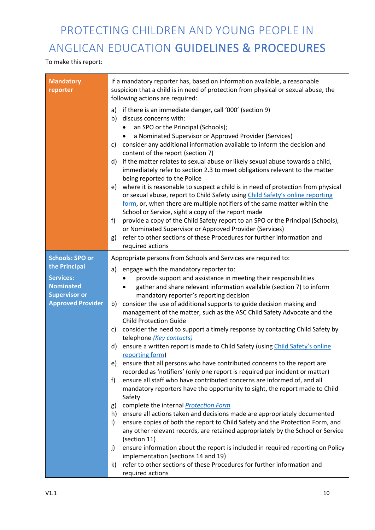#### To make this report:

| <b>Mandatory</b><br>reporter | If a mandatory reporter has, based on information available, a reasonable<br>suspicion that a child is in need of protection from physical or sexual abuse, the<br>following actions are required:                                                                                                                                                                                                                                                                                                                                                                                                                                                                                                                                                                                                                                                                                                                                                                                                                                                                                                     |  |  |  |
|------------------------------|--------------------------------------------------------------------------------------------------------------------------------------------------------------------------------------------------------------------------------------------------------------------------------------------------------------------------------------------------------------------------------------------------------------------------------------------------------------------------------------------------------------------------------------------------------------------------------------------------------------------------------------------------------------------------------------------------------------------------------------------------------------------------------------------------------------------------------------------------------------------------------------------------------------------------------------------------------------------------------------------------------------------------------------------------------------------------------------------------------|--|--|--|
|                              | if there is an immediate danger, call '000' (section 9)<br>a)<br>discuss concerns with:<br>b)<br>an SPO or the Principal (Schools);<br>a Nominated Supervisor or Approved Provider (Services)<br>٠<br>consider any additional information available to inform the decision and<br>C)<br>content of the report (section 7)<br>if the matter relates to sexual abuse or likely sexual abuse towards a child,<br>d)<br>immediately refer to section 2.3 to meet obligations relevant to the matter<br>being reported to the Police<br>where it is reasonable to suspect a child is in need of protection from physical<br>e)<br>or sexual abuse, report to Child Safety using Child Safety's online reporting<br>form, or, when there are multiple notifiers of the same matter within the<br>School or Service, sight a copy of the report made<br>provide a copy of the Child Safety report to an SPO or the Principal (Schools),<br>f)<br>or Nominated Supervisor or Approved Provider (Services)<br>refer to other sections of these Procedures for further information and<br>g)<br>required actions |  |  |  |
| <b>Schools: SPO or</b>       | Appropriate persons from Schools and Services are required to:                                                                                                                                                                                                                                                                                                                                                                                                                                                                                                                                                                                                                                                                                                                                                                                                                                                                                                                                                                                                                                         |  |  |  |
| the Principal                | engage with the mandatory reporter to:<br>a)                                                                                                                                                                                                                                                                                                                                                                                                                                                                                                                                                                                                                                                                                                                                                                                                                                                                                                                                                                                                                                                           |  |  |  |
| <b>Services:</b>             | provide support and assistance in meeting their responsibilities                                                                                                                                                                                                                                                                                                                                                                                                                                                                                                                                                                                                                                                                                                                                                                                                                                                                                                                                                                                                                                       |  |  |  |
| <b>Nominated</b>             | gather and share relevant information available (section 7) to inform<br>$\bullet$                                                                                                                                                                                                                                                                                                                                                                                                                                                                                                                                                                                                                                                                                                                                                                                                                                                                                                                                                                                                                     |  |  |  |
| <b>Supervisor or</b>         | mandatory reporter's reporting decision                                                                                                                                                                                                                                                                                                                                                                                                                                                                                                                                                                                                                                                                                                                                                                                                                                                                                                                                                                                                                                                                |  |  |  |
| <b>Approved Provider</b>     | consider the use of additional supports to guide decision making and<br>b)                                                                                                                                                                                                                                                                                                                                                                                                                                                                                                                                                                                                                                                                                                                                                                                                                                                                                                                                                                                                                             |  |  |  |
|                              | management of the matter, such as the ASC Child Safety Advocate and the<br><b>Child Protection Guide</b>                                                                                                                                                                                                                                                                                                                                                                                                                                                                                                                                                                                                                                                                                                                                                                                                                                                                                                                                                                                               |  |  |  |
|                              | consider the need to support a timely response by contacting Child Safety by<br>c)                                                                                                                                                                                                                                                                                                                                                                                                                                                                                                                                                                                                                                                                                                                                                                                                                                                                                                                                                                                                                     |  |  |  |
|                              | telephone (Key contacts)                                                                                                                                                                                                                                                                                                                                                                                                                                                                                                                                                                                                                                                                                                                                                                                                                                                                                                                                                                                                                                                                               |  |  |  |
|                              | ensure a written report is made to Child Safety (using Child Safety's online<br>d)<br>reporting form)                                                                                                                                                                                                                                                                                                                                                                                                                                                                                                                                                                                                                                                                                                                                                                                                                                                                                                                                                                                                  |  |  |  |
|                              | ensure that all persons who have contributed concerns to the report are<br>e)                                                                                                                                                                                                                                                                                                                                                                                                                                                                                                                                                                                                                                                                                                                                                                                                                                                                                                                                                                                                                          |  |  |  |
|                              | recorded as 'notifiers' (only one report is required per incident or matter)                                                                                                                                                                                                                                                                                                                                                                                                                                                                                                                                                                                                                                                                                                                                                                                                                                                                                                                                                                                                                           |  |  |  |
|                              | ensure all staff who have contributed concerns are informed of, and all<br>f                                                                                                                                                                                                                                                                                                                                                                                                                                                                                                                                                                                                                                                                                                                                                                                                                                                                                                                                                                                                                           |  |  |  |
|                              | mandatory reporters have the opportunity to sight, the report made to Child<br>Safety                                                                                                                                                                                                                                                                                                                                                                                                                                                                                                                                                                                                                                                                                                                                                                                                                                                                                                                                                                                                                  |  |  |  |
|                              | complete the internal <b>Protection Form</b><br>g)                                                                                                                                                                                                                                                                                                                                                                                                                                                                                                                                                                                                                                                                                                                                                                                                                                                                                                                                                                                                                                                     |  |  |  |
|                              | ensure all actions taken and decisions made are appropriately documented<br>h)                                                                                                                                                                                                                                                                                                                                                                                                                                                                                                                                                                                                                                                                                                                                                                                                                                                                                                                                                                                                                         |  |  |  |
|                              | ensure copies of both the report to Child Safety and the Protection Form, and<br>i)                                                                                                                                                                                                                                                                                                                                                                                                                                                                                                                                                                                                                                                                                                                                                                                                                                                                                                                                                                                                                    |  |  |  |
|                              | any other relevant records, are retained appropriately by the School or Service                                                                                                                                                                                                                                                                                                                                                                                                                                                                                                                                                                                                                                                                                                                                                                                                                                                                                                                                                                                                                        |  |  |  |
|                              | (section 11)                                                                                                                                                                                                                                                                                                                                                                                                                                                                                                                                                                                                                                                                                                                                                                                                                                                                                                                                                                                                                                                                                           |  |  |  |
|                              | ensure information about the report is included in required reporting on Policy<br>j)<br>implementation (sections 14 and 19)                                                                                                                                                                                                                                                                                                                                                                                                                                                                                                                                                                                                                                                                                                                                                                                                                                                                                                                                                                           |  |  |  |
|                              | refer to other sections of these Procedures for further information and<br>k)                                                                                                                                                                                                                                                                                                                                                                                                                                                                                                                                                                                                                                                                                                                                                                                                                                                                                                                                                                                                                          |  |  |  |
|                              | required actions                                                                                                                                                                                                                                                                                                                                                                                                                                                                                                                                                                                                                                                                                                                                                                                                                                                                                                                                                                                                                                                                                       |  |  |  |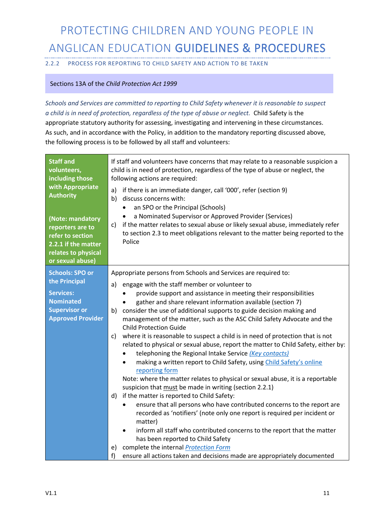2.2.2 PROCESS FOR REPORTING TO CHILD SAFETY AND ACTION TO BE TAKEN

#### Sections 13A of the *Child Protection Act 1999*

*Schools and Services are committed to reporting to Child Safety whenever it is reasonable to suspect a child is in need of protection, regardless of the type of abuse or neglect.* Child Safety is the appropriate statutory authority for assessing, investigating and intervening in these circumstances. As such, and in accordance with the Policy, in addition to the mandatory reporting discussed above, the following process is to be followed by all staff and volunteers:

| <b>Staff and</b><br>volunteers,<br>including those<br>with Appropriate<br><b>Authority</b><br>(Note: mandatory<br>reporters are to<br>refer to section<br>2.2.1 if the matter<br>relates to physical<br>or sexual abuse) | If staff and volunteers have concerns that may relate to a reasonable suspicion a<br>child is in need of protection, regardless of the type of abuse or neglect, the<br>following actions are required:<br>if there is an immediate danger, call '000', refer (section 9)<br>a)<br>discuss concerns with:<br>b)<br>an SPO or the Principal (Schools)<br>$\bullet$<br>a Nominated Supervisor or Approved Provider (Services)<br>$\bullet$<br>c) if the matter relates to sexual abuse or likely sexual abuse, immediately refer<br>to section 2.3 to meet obligations relevant to the matter being reported to the<br>Police |
|--------------------------------------------------------------------------------------------------------------------------------------------------------------------------------------------------------------------------|-----------------------------------------------------------------------------------------------------------------------------------------------------------------------------------------------------------------------------------------------------------------------------------------------------------------------------------------------------------------------------------------------------------------------------------------------------------------------------------------------------------------------------------------------------------------------------------------------------------------------------|
| <b>Schools: SPO or</b>                                                                                                                                                                                                   | Appropriate persons from Schools and Services are required to:                                                                                                                                                                                                                                                                                                                                                                                                                                                                                                                                                              |
| the Principal                                                                                                                                                                                                            | engage with the staff member or volunteer to<br>a)                                                                                                                                                                                                                                                                                                                                                                                                                                                                                                                                                                          |
| <b>Services:</b>                                                                                                                                                                                                         | provide support and assistance in meeting their responsibilities                                                                                                                                                                                                                                                                                                                                                                                                                                                                                                                                                            |
| <b>Nominated</b>                                                                                                                                                                                                         | gather and share relevant information available (section 7)<br>$\bullet$                                                                                                                                                                                                                                                                                                                                                                                                                                                                                                                                                    |
| <b>Supervisor or</b><br><b>Approved Provider</b>                                                                                                                                                                         | b) consider the use of additional supports to guide decision making and                                                                                                                                                                                                                                                                                                                                                                                                                                                                                                                                                     |
|                                                                                                                                                                                                                          | management of the matter, such as the ASC Child Safety Advocate and the<br><b>Child Protection Guide</b>                                                                                                                                                                                                                                                                                                                                                                                                                                                                                                                    |
|                                                                                                                                                                                                                          | c) where it is reasonable to suspect a child is in need of protection that is not                                                                                                                                                                                                                                                                                                                                                                                                                                                                                                                                           |
|                                                                                                                                                                                                                          | related to physical or sexual abuse, report the matter to Child Safety, either by:                                                                                                                                                                                                                                                                                                                                                                                                                                                                                                                                          |
|                                                                                                                                                                                                                          | telephoning the Regional Intake Service (Key contacts)                                                                                                                                                                                                                                                                                                                                                                                                                                                                                                                                                                      |
|                                                                                                                                                                                                                          | making a written report to Child Safety, using Child Safety's online<br>reporting form                                                                                                                                                                                                                                                                                                                                                                                                                                                                                                                                      |
|                                                                                                                                                                                                                          | Note: where the matter relates to physical or sexual abuse, it is a reportable                                                                                                                                                                                                                                                                                                                                                                                                                                                                                                                                              |
|                                                                                                                                                                                                                          | suspicion that must be made in writing (section 2.2.1)                                                                                                                                                                                                                                                                                                                                                                                                                                                                                                                                                                      |
|                                                                                                                                                                                                                          | if the matter is reported to Child Safety:<br>d)                                                                                                                                                                                                                                                                                                                                                                                                                                                                                                                                                                            |
|                                                                                                                                                                                                                          | ensure that all persons who have contributed concerns to the report are<br>$\bullet$                                                                                                                                                                                                                                                                                                                                                                                                                                                                                                                                        |
|                                                                                                                                                                                                                          | recorded as 'notifiers' (note only one report is required per incident or<br>matter)                                                                                                                                                                                                                                                                                                                                                                                                                                                                                                                                        |
|                                                                                                                                                                                                                          | inform all staff who contributed concerns to the report that the matter                                                                                                                                                                                                                                                                                                                                                                                                                                                                                                                                                     |
|                                                                                                                                                                                                                          | has been reported to Child Safety                                                                                                                                                                                                                                                                                                                                                                                                                                                                                                                                                                                           |
|                                                                                                                                                                                                                          | complete the internal <b>Protection Form</b><br>e)                                                                                                                                                                                                                                                                                                                                                                                                                                                                                                                                                                          |
|                                                                                                                                                                                                                          | f)<br>ensure all actions taken and decisions made are appropriately documented                                                                                                                                                                                                                                                                                                                                                                                                                                                                                                                                              |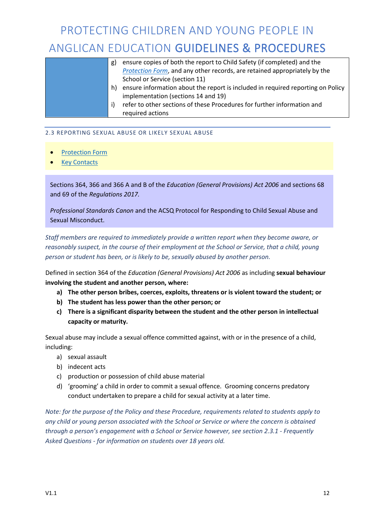|  | g) | ensure copies of both the report to Child Safety (if completed) and the         |
|--|----|---------------------------------------------------------------------------------|
|  |    | Protection Form, and any other records, are retained appropriately by the       |
|  |    | School or Service (section 11)                                                  |
|  | h) | ensure information about the report is included in required reporting on Policy |
|  |    | implementation (sections 14 and 19)                                             |
|  | i) | refer to other sections of these Procedures for further information and         |
|  |    | required actions                                                                |

#### 2.3 REPORTING SEXUAL ABUSE OR LIKELY SEXUAL ABUSE

- Protection Form
- Key Contacts

•

Sections 364, 366 and 366 A and B of the *Education (General Provisions) Act 2006* and sections 68 and 69 of the *Regulations 2017.*

*Professional Standards Canon* and the ACSQ Protocol for Responding to Child Sexual Abuse and Sexual Misconduct.

*Staff members are required to immediately provide a written report when they become aware, or reasonably suspect, in the course of their employment at the School or Service, that a child, young person or student has been, or is likely to be, sexually abused by another person.* 

Defined in section 364 of the *Education (General Provisions) Act 2006* as including **sexual behaviour involving the student and another person, where:**

- **a) The other person bribes, coerces, exploits, threatens or is violent toward the student; or**
- **b) The student has less power than the other person; or**
- **c) There is a significant disparity between the student and the other person in intellectual capacity or maturity.**

Sexual abuse may include a sexual offence committed against, with or in the presence of a child, including:

- a) sexual assault
- b) indecent acts
- c) production or possession of child abuse material
- d) 'grooming' a child in order to commit a sexual offence. Grooming concerns predatory conduct undertaken to prepare a child for sexual activity at a later time.

*Note: for the purpose of the Policy and these Procedure, requirements related to students apply to any child or young person associated with the School or Service or where the concern is obtained through a person's engagement with a School or Service however, see section 2.3.1 - Frequently Asked Questions - for information on students over 18 years old.*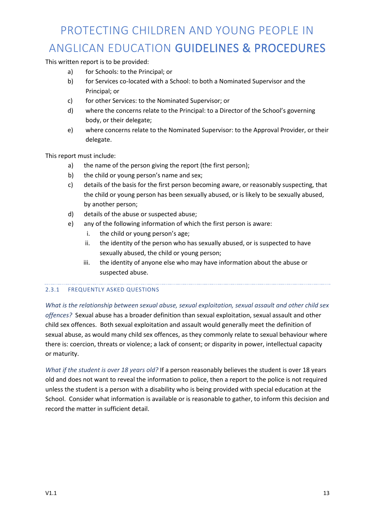This written report is to be provided:

- a) for Schools: to the Principal; or
- b) for Services co-located with a School: to both a Nominated Supervisor and the Principal; or
- c) for other Services: to the Nominated Supervisor; or
- d) where the concerns relate to the Principal: to a Director of the School's governing body, or their delegate;
- e) where concerns relate to the Nominated Supervisor: to the Approval Provider, or their delegate.

This report must include:

- a) the name of the person giving the report (the first person);
- b) the child or young person's name and sex;
- c) details of the basis for the first person becoming aware, or reasonably suspecting, that the child or young person has been sexually abused, or is likely to be sexually abused, by another person;
- d) details of the abuse or suspected abuse;
- e) any of the following information of which the first person is aware:
	- i. the child or young person's age;
	- ii. the identity of the person who has sexually abused, or is suspected to have sexually abused, the child or young person;
	- iii. the identity of anyone else who may have information about the abuse or suspected abuse.

#### 2.3.1 FREQUENTLY ASKED QUESTIONS

*What is the relationship between sexual abuse, sexual exploitation, sexual assault and other child sex offences?* Sexual abuse has a broader definition than sexual exploitation, sexual assault and other child sex offences. Both sexual exploitation and assault would generally meet the definition of sexual abuse, as would many child sex offences, as they commonly relate to sexual behaviour where there is: coercion, threats or violence; a lack of consent; or disparity in power, intellectual capacity or maturity.

*What if the student is over 18 years old?* If a person reasonably believes the student is over 18 years old and does not want to reveal the information to police, then a report to the police is not required unless the student is a person with a disability who is being provided with special education at the School. Consider what information is available or is reasonable to gather, to inform this decision and record the matter in sufficient detail.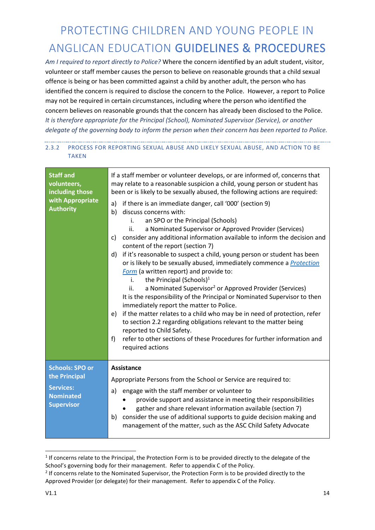*Am I required to report directly to Police?* Where the concern identified by an adult student, visitor, volunteer or staff member causes the person to believe on reasonable grounds that a child sexual offence is being or has been committed against a child by another adult, the person who has identified the concern is required to disclose the concern to the Police. However, a report to Police may not be required in certain circumstances, including where the person who identified the concern believes on reasonable grounds that the concern has already been disclosed to the Police. *It is therefore appropriate for the Principal (School), Nominated Supervisor (Service), or another delegate of the governing body to inform the person when their concern has been reported to Police.*

#### 2.3.2 PROCESS FOR REPORTING SEXUAL ABUSE AND LIKELY SEXUAL ABUSE, AND ACTION TO BE TAKEN

| <b>Staff and</b><br>volunteers,<br>including those<br>with Appropriate<br><b>Authority</b>           | If a staff member or volunteer develops, or are informed of, concerns that<br>may relate to a reasonable suspicion a child, young person or student has<br>been or is likely to be sexually abused, the following actions are required:<br>if there is an immediate danger, call '000' (section 9)<br>a)<br>b)<br>discuss concerns with:<br>an SPO or the Principal (Schools)<br>i.<br>a Nominated Supervisor or Approved Provider (Services)<br>ii.<br>consider any additional information available to inform the decision and<br>c)<br>content of the report (section 7)<br>if it's reasonable to suspect a child, young person or student has been<br>d)<br>or is likely to be sexually abused, immediately commence a Protection<br>Form (a written report) and provide to:<br>the Principal (Schools) $1$<br>i.<br>a Nominated Supervisor <sup>2</sup> or Approved Provider (Services)<br>ii.<br>It is the responsibility of the Principal or Nominated Supervisor to then<br>immediately report the matter to Police.<br>if the matter relates to a child who may be in need of protection, refer<br>e)<br>to section 2.2 regarding obligations relevant to the matter being<br>reported to Child Safety.<br>refer to other sections of these Procedures for further information and<br>f<br>required actions |
|------------------------------------------------------------------------------------------------------|----------------------------------------------------------------------------------------------------------------------------------------------------------------------------------------------------------------------------------------------------------------------------------------------------------------------------------------------------------------------------------------------------------------------------------------------------------------------------------------------------------------------------------------------------------------------------------------------------------------------------------------------------------------------------------------------------------------------------------------------------------------------------------------------------------------------------------------------------------------------------------------------------------------------------------------------------------------------------------------------------------------------------------------------------------------------------------------------------------------------------------------------------------------------------------------------------------------------------------------------------------------------------------------------------------------------|
| <b>Schools: SPO or</b><br>the Principal<br><b>Services:</b><br><b>Nominated</b><br><b>Supervisor</b> | Assistance<br>Appropriate Persons from the School or Service are required to:<br>engage with the staff member or volunteer to<br>a)<br>provide support and assistance in meeting their responsibilities<br>gather and share relevant information available (section 7)<br>consider the use of additional supports to guide decision making and<br>b)<br>management of the matter, such as the ASC Child Safety Advocate                                                                                                                                                                                                                                                                                                                                                                                                                                                                                                                                                                                                                                                                                                                                                                                                                                                                                              |

 $1$  If concerns relate to the Principal, the Protection Form is to be provided directly to the delegate of the School's governing body for their management. Refer to appendix C of the Policy.

<sup>&</sup>lt;sup>2</sup> If concerns relate to the Nominated Supervisor, the Protection Form is to be provided directly to the Approved Provider (or delegate) for their management. Refer to appendix C of the Policy.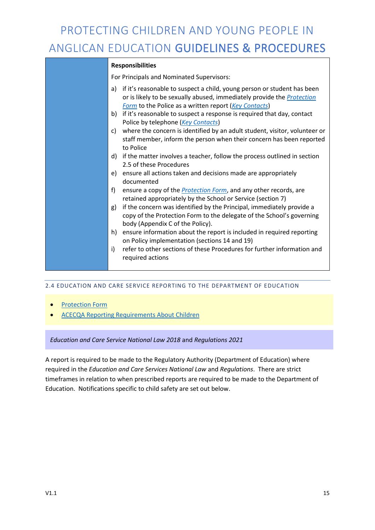#### **Responsibilities**

For Principals and Nominated Supervisors:

- a) if it's reasonable to suspect a child, young person or student has been or is likely to be sexually abused, immediately provide the *Protection Form* to the Police as a written report (*Key Contacts*)
- b) if it's reasonable to suspect a response is required that day, contact Police by telephone (*Key Contacts*)
- c) where the concern is identified by an adult student, visitor, volunteer or staff member, inform the person when their concern has been reported to Police
- d) if the matter involves a teacher, follow the process outlined in section 2.5 of these Procedures
- e) ensure all actions taken and decisions made are appropriately documented
- f) ensure a copy of the *Protection Form*, and any other records, are retained appropriately by the School or Service (section 7)
- g) if the concern was identified by the Principal, immediately provide a copy of the Protection Form to the delegate of the School's governing body (Appendix C of the Policy).
- h) ensure information about the report is included in required reporting on Policy implementation (sections 14 and 19)
- i) refer to other sections of these Procedures for further information and required actions

#### 2.4 EDUCATION AND CARE SERVICE REPORTING TO THE DEPARTMENT OF EDUCATION

- Protection Form
- ACECQA Reporting Requirements About Children

#### *Education and Care Service National Law 2018* and *Regulations 2021*

A report is required to be made to the Regulatory Authority (Department of Education) where required in the *Education and Care Services National Law* and *Regulations*. There are strict timeframes in relation to when prescribed reports are required to be made to the Department of Education. Notifications specific to child safety are set out below.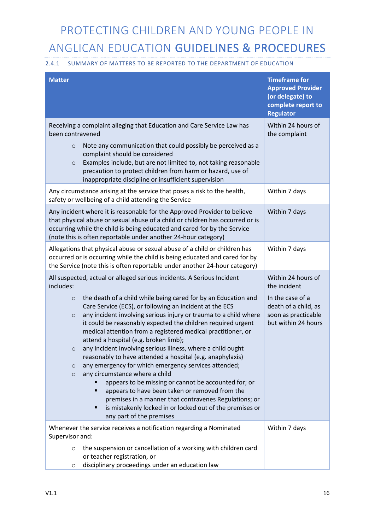#### 2.4.1 SUMMARY OF MATTERS TO BE REPORTED TO THE DEPARTMENT OF EDUCATION

| <b>Matter</b>                                                                                                                                                                                                                                                                                                                                                                                                                                                                                                                                                                                                                                                                                                                                                                                                                                                                                                      | <b>Timeframe for</b><br><b>Approved Provider</b><br>(or delegate) to<br>complete report to<br><b>Regulator</b> |
|--------------------------------------------------------------------------------------------------------------------------------------------------------------------------------------------------------------------------------------------------------------------------------------------------------------------------------------------------------------------------------------------------------------------------------------------------------------------------------------------------------------------------------------------------------------------------------------------------------------------------------------------------------------------------------------------------------------------------------------------------------------------------------------------------------------------------------------------------------------------------------------------------------------------|----------------------------------------------------------------------------------------------------------------|
| Receiving a complaint alleging that Education and Care Service Law has<br>been contravened<br>Note any communication that could possibly be perceived as a<br>$\circ$<br>complaint should be considered<br>Examples include, but are not limited to, not taking reasonable<br>$\circ$<br>precaution to protect children from harm or hazard, use of<br>inappropriate discipline or insufficient supervision                                                                                                                                                                                                                                                                                                                                                                                                                                                                                                        | Within 24 hours of<br>the complaint                                                                            |
| Any circumstance arising at the service that poses a risk to the health,<br>safety or wellbeing of a child attending the Service                                                                                                                                                                                                                                                                                                                                                                                                                                                                                                                                                                                                                                                                                                                                                                                   | Within 7 days                                                                                                  |
| Any incident where it is reasonable for the Approved Provider to believe<br>that physical abuse or sexual abuse of a child or children has occurred or is<br>occurring while the child is being educated and cared for by the Service<br>(note this is often reportable under another 24-hour category)                                                                                                                                                                                                                                                                                                                                                                                                                                                                                                                                                                                                            | Within 7 days                                                                                                  |
| Allegations that physical abuse or sexual abuse of a child or children has<br>occurred or is occurring while the child is being educated and cared for by<br>the Service (note this is often reportable under another 24-hour category)                                                                                                                                                                                                                                                                                                                                                                                                                                                                                                                                                                                                                                                                            | Within 7 days                                                                                                  |
| All suspected, actual or alleged serious incidents. A Serious Incident<br>includes:                                                                                                                                                                                                                                                                                                                                                                                                                                                                                                                                                                                                                                                                                                                                                                                                                                | Within 24 hours of<br>the incident                                                                             |
| the death of a child while being cared for by an Education and<br>$\circ$<br>Care Service (ECS), or following an incident at the ECS<br>any incident involving serious injury or trauma to a child where<br>$\circ$<br>it could be reasonably expected the children required urgent<br>medical attention from a registered medical practitioner, or<br>attend a hospital (e.g. broken limb);<br>any incident involving serious illness, where a child ought<br>O<br>reasonably to have attended a hospital (e.g. anaphylaxis)<br>any emergency for which emergency services attended;<br>$\circ$<br>any circumstance where a child<br>$\circ$<br>appears to be missing or cannot be accounted for; or<br>appears to have been taken or removed from the<br>٠<br>premises in a manner that contravenes Regulations; or<br>is mistakenly locked in or locked out of the premises or<br>٠<br>any part of the premises | In the case of a<br>death of a child, as<br>soon as practicable<br>but within 24 hours                         |
| Whenever the service receives a notification regarding a Nominated<br>Supervisor and:                                                                                                                                                                                                                                                                                                                                                                                                                                                                                                                                                                                                                                                                                                                                                                                                                              | Within 7 days                                                                                                  |
| the suspension or cancellation of a working with children card<br>$\circ$<br>or teacher registration, or<br>disciplinary proceedings under an education law<br>O                                                                                                                                                                                                                                                                                                                                                                                                                                                                                                                                                                                                                                                                                                                                                   |                                                                                                                |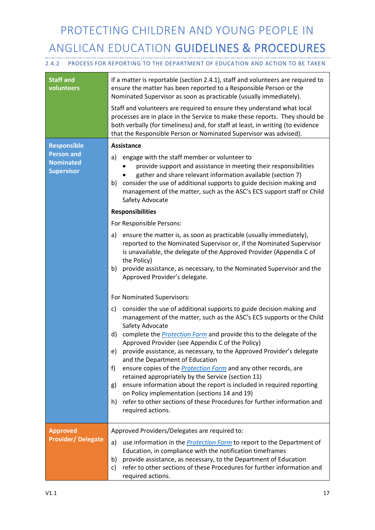#### 2.4.2 PROCESS FOR REPORTING TO THE DEPARTMENT OF EDUCATION AND ACTION TO BE TAKEN

| <b>Staff and</b><br>volunteers                             | If a matter is reportable (section 2.4.1), staff and volunteers are required to<br>ensure the matter has been reported to a Responsible Person or the<br>Nominated Supervisor as soon as practicable (usually immediately).<br>Staff and volunteers are required to ensure they understand what local<br>processes are in place in the Service to make these reports. They should be<br>both verbally (for timeliness) and, for staff at least, in writing (to evidence<br>that the Responsible Person or Nominated Supervisor was advised).                                                                                                                                                                                                                                                                  |
|------------------------------------------------------------|---------------------------------------------------------------------------------------------------------------------------------------------------------------------------------------------------------------------------------------------------------------------------------------------------------------------------------------------------------------------------------------------------------------------------------------------------------------------------------------------------------------------------------------------------------------------------------------------------------------------------------------------------------------------------------------------------------------------------------------------------------------------------------------------------------------|
| <b>Responsible</b>                                         | Assistance                                                                                                                                                                                                                                                                                                                                                                                                                                                                                                                                                                                                                                                                                                                                                                                                    |
| <b>Person and</b><br><b>Nominated</b><br><b>Supervisor</b> | engage with the staff member or volunteer to<br>a)<br>provide support and assistance in meeting their responsibilities<br>gather and share relevant information available (section 7)<br>consider the use of additional supports to guide decision making and<br>b)<br>management of the matter, such as the ASC's ECS support staff or Child<br>Safety Advocate                                                                                                                                                                                                                                                                                                                                                                                                                                              |
|                                                            | <b>Responsibilities</b>                                                                                                                                                                                                                                                                                                                                                                                                                                                                                                                                                                                                                                                                                                                                                                                       |
|                                                            | For Responsible Persons:                                                                                                                                                                                                                                                                                                                                                                                                                                                                                                                                                                                                                                                                                                                                                                                      |
|                                                            | ensure the matter is, as soon as practicable (usually immediately),<br>a)<br>reported to the Nominated Supervisor or, if the Nominated Supervisor<br>is unavailable, the delegate of the Approved Provider (Appendix C of<br>the Policy)<br>provide assistance, as necessary, to the Nominated Supervisor and the<br>b)<br>Approved Provider's delegate.                                                                                                                                                                                                                                                                                                                                                                                                                                                      |
|                                                            | For Nominated Supervisors:                                                                                                                                                                                                                                                                                                                                                                                                                                                                                                                                                                                                                                                                                                                                                                                    |
|                                                            | consider the use of additional supports to guide decision making and<br>c)<br>management of the matter, such as the ASC's ECS supports or the Child<br>Safety Advocate<br>complete the <b>Protection Form</b> and provide this to the delegate of the<br>d)<br>Approved Provider (see Appendix C of the Policy)<br>provide assistance, as necessary, to the Approved Provider's delegate<br>e)<br>and the Department of Education<br>ensure copies of the <i>Protection Form</i> and any other records, are<br>f)<br>retained appropriately by the Service (section 11)<br>ensure information about the report is included in required reporting<br>g)<br>on Policy implementation (sections 14 and 19)<br>refer to other sections of these Procedures for further information and<br>h)<br>required actions. |
| <b>Approved</b>                                            | Approved Providers/Delegates are required to:                                                                                                                                                                                                                                                                                                                                                                                                                                                                                                                                                                                                                                                                                                                                                                 |
| <b>Provider/Delegate</b>                                   | use information in the <b>Protection Form</b> to report to the Department of<br>a)<br>Education, in compliance with the notification timeframes<br>provide assistance, as necessary, to the Department of Education<br>b)<br>refer to other sections of these Procedures for further information and<br>c)<br>required actions.                                                                                                                                                                                                                                                                                                                                                                                                                                                                               |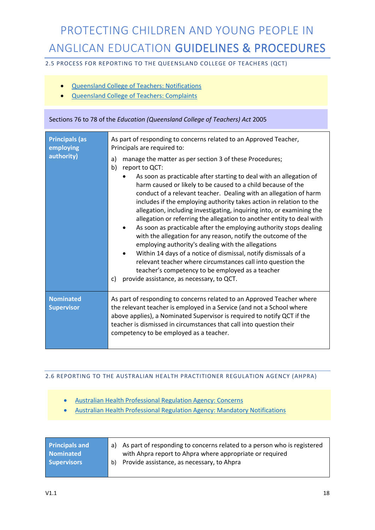2.5 PROCESS FOR REPORTING TO THE QUEENSLAND COLLEGE OF TEACHERS (QCT)

- Queensland College of Teachers: Notifications
- Queensland College of Teachers: Complaints

#### Sections 76 to 78 of the *Education (Queensland College of Teachers) Act* 2005

| <b>Principals (as</b><br>employing<br>authority) | As part of responding to concerns related to an Approved Teacher,<br>Principals are required to:<br>manage the matter as per section 3 of these Procedures;<br>a)<br>b)<br>report to QCT:<br>As soon as practicable after starting to deal with an allegation of<br>harm caused or likely to be caused to a child because of the<br>conduct of a relevant teacher. Dealing with an allegation of harm<br>includes if the employing authority takes action in relation to the<br>allegation, including investigating, inquiring into, or examining the<br>allegation or referring the allegation to another entity to deal with<br>As soon as practicable after the employing authority stops dealing<br>with the allegation for any reason, notify the outcome of the<br>employing authority's dealing with the allegations<br>Within 14 days of a notice of dismissal, notify dismissals of a<br>relevant teacher where circumstances call into question the<br>teacher's competency to be employed as a teacher<br>provide assistance, as necessary, to QCT.<br>c) |
|--------------------------------------------------|----------------------------------------------------------------------------------------------------------------------------------------------------------------------------------------------------------------------------------------------------------------------------------------------------------------------------------------------------------------------------------------------------------------------------------------------------------------------------------------------------------------------------------------------------------------------------------------------------------------------------------------------------------------------------------------------------------------------------------------------------------------------------------------------------------------------------------------------------------------------------------------------------------------------------------------------------------------------------------------------------------------------------------------------------------------------|
| <b>Nominated</b><br><b>Supervisor</b>            | As part of responding to concerns related to an Approved Teacher where<br>the relevant teacher is employed in a Service (and not a School where<br>above applies), a Nominated Supervisor is required to notify QCT if the<br>teacher is dismissed in circumstances that call into question their<br>competency to be employed as a teacher.                                                                                                                                                                                                                                                                                                                                                                                                                                                                                                                                                                                                                                                                                                                         |

#### 2.6 REPORTING TO THE AUSTRALIAN HEALTH PRACTITIONER REGULATION AGENCY (AHPRA)

- Australian Health Professional Regulation Agency: Concerns
- Australian Health Professional Regulation Agency: Mandatory Notifications

| <b>Principals and</b> | a) As part of responding to concerns related to a person who is registered |
|-----------------------|----------------------------------------------------------------------------|
| <b>Nominated</b>      | with Ahpra report to Ahpra where appropriate or required                   |
| <b>Supervisors</b>    | b) Provide assistance, as necessary, to Ahpra                              |
|                       |                                                                            |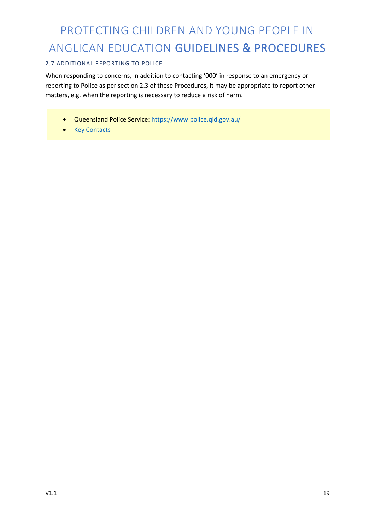#### 2.7 ADDITIONAL REPORTING TO POLICE

When responding to concerns, in addition to contacting '000' in response to an emergency or reporting to Police as per section 2.3 of these Procedures, it may be appropriate to report other matters, e.g. when the reporting is necessary to reduce a risk of harm.

- Queensland Police Service: https://www.police.qld.gov.au/
- Key Contacts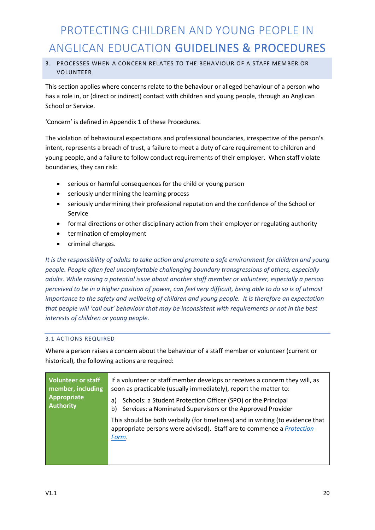#### 3. PROCESSES WHEN A CONCERN RELATES TO THE BEHAVIOUR OF A STAFF MEMBER OR VOLUNTEER

This section applies where concerns relate to the behaviour or alleged behaviour of a person who has a role in, or (direct or indirect) contact with children and young people, through an Anglican School or Service.

'Concern' is defined in Appendix 1 of these Procedures.

The violation of behavioural expectations and professional boundaries, irrespective of the person's intent, represents a breach of trust, a failure to meet a duty of care requirement to children and young people, and a failure to follow conduct requirements of their employer. When staff violate boundaries, they can risk:

- serious or harmful consequences for the child or young person
- seriously undermining the learning process
- seriously undermining their professional reputation and the confidence of the School or Service
- formal directions or other disciplinary action from their employer or regulating authority
- termination of employment
- criminal charges.

*It is the responsibility of adults to take action and promote a safe environment for children and young people. People often feel uncomfortable challenging boundary transgressions of others, especially adults. While raising a potential issue about another staff member or volunteer, especially a person perceived to be in a higher position of power, can feel very difficult, being able to do so is of utmost importance to the safety and wellbeing of children and young people. It is therefore an expectation that people will 'call out' behaviour that may be inconsistent with requirements or not in the best interests of children or young people.*

#### 3.1 ACTIONS REQUIRED

Where a person raises a concern about the behaviour of a staff member or volunteer (current or historical), the following actions are required:

| <b>Volunteer or staff</b><br>member, including<br>Appropriate<br><b>Authority</b> | If a volunteer or staff member develops or receives a concern they will, as<br>soon as practicable (usually immediately), report the matter to:<br>Schools: a Student Protection Officer (SPO) or the Principal<br>a)<br>Services: a Nominated Supervisors or the Approved Provider<br>b) |
|-----------------------------------------------------------------------------------|-------------------------------------------------------------------------------------------------------------------------------------------------------------------------------------------------------------------------------------------------------------------------------------------|
|                                                                                   | This should be both verbally (for timeliness) and in writing (to evidence that<br>appropriate persons were advised). Staff are to commence a <i>Protection</i><br>Form.                                                                                                                   |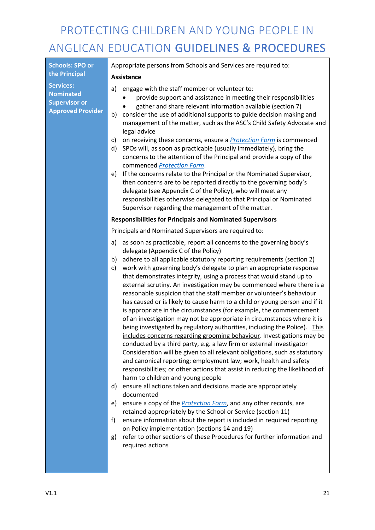| <b>Schools: SPO or</b>                                                                   | Appropriate persons from Schools and Services are required to:                                                                                                                                                                                                                                                                                                                                                                                                                                                                                                                                                                                                                                                                                                                                                                                                                                                                                                                                                                                                                                                                                                                                                                                                                                                               |  |  |
|------------------------------------------------------------------------------------------|------------------------------------------------------------------------------------------------------------------------------------------------------------------------------------------------------------------------------------------------------------------------------------------------------------------------------------------------------------------------------------------------------------------------------------------------------------------------------------------------------------------------------------------------------------------------------------------------------------------------------------------------------------------------------------------------------------------------------------------------------------------------------------------------------------------------------------------------------------------------------------------------------------------------------------------------------------------------------------------------------------------------------------------------------------------------------------------------------------------------------------------------------------------------------------------------------------------------------------------------------------------------------------------------------------------------------|--|--|
| the Principal                                                                            | <b>Assistance</b>                                                                                                                                                                                                                                                                                                                                                                                                                                                                                                                                                                                                                                                                                                                                                                                                                                                                                                                                                                                                                                                                                                                                                                                                                                                                                                            |  |  |
| <b>Services:</b><br><b>Nominated</b><br><b>Supervisor or</b><br><b>Approved Provider</b> | engage with the staff member or volunteer to:<br>a)<br>provide support and assistance in meeting their responsibilities<br>gather and share relevant information available (section 7)<br>consider the use of additional supports to guide decision making and<br>b)<br>management of the matter, such as the ASC's Child Safety Advocate and<br>legal advice                                                                                                                                                                                                                                                                                                                                                                                                                                                                                                                                                                                                                                                                                                                                                                                                                                                                                                                                                                |  |  |
|                                                                                          | on receiving these concerns, ensure a <b>Protection Form</b> is commenced<br>C)<br>SPOs will, as soon as practicable (usually immediately), bring the<br>d)<br>concerns to the attention of the Principal and provide a copy of the<br>commenced <b>Protection Form</b> .                                                                                                                                                                                                                                                                                                                                                                                                                                                                                                                                                                                                                                                                                                                                                                                                                                                                                                                                                                                                                                                    |  |  |
|                                                                                          | If the concerns relate to the Principal or the Nominated Supervisor,<br>e)<br>then concerns are to be reported directly to the governing body's<br>delegate (see Appendix C of the Policy), who will meet any<br>responsibilities otherwise delegated to that Principal or Nominated<br>Supervisor regarding the management of the matter.                                                                                                                                                                                                                                                                                                                                                                                                                                                                                                                                                                                                                                                                                                                                                                                                                                                                                                                                                                                   |  |  |
|                                                                                          | <b>Responsibilities for Principals and Nominated Supervisors</b>                                                                                                                                                                                                                                                                                                                                                                                                                                                                                                                                                                                                                                                                                                                                                                                                                                                                                                                                                                                                                                                                                                                                                                                                                                                             |  |  |
|                                                                                          | Principals and Nominated Supervisors are required to:                                                                                                                                                                                                                                                                                                                                                                                                                                                                                                                                                                                                                                                                                                                                                                                                                                                                                                                                                                                                                                                                                                                                                                                                                                                                        |  |  |
|                                                                                          | as soon as practicable, report all concerns to the governing body's<br>a)<br>delegate (Appendix C of the Policy)<br>adhere to all applicable statutory reporting requirements (section 2)<br>b)<br>work with governing body's delegate to plan an appropriate response<br>c)<br>that demonstrates integrity, using a process that would stand up to<br>external scrutiny. An investigation may be commenced where there is a<br>reasonable suspicion that the staff member or volunteer's behaviour<br>has caused or is likely to cause harm to a child or young person and if it<br>is appropriate in the circumstances (for example, the commencement<br>of an investigation may not be appropriate in circumstances where it is<br>being investigated by regulatory authorities, including the Police). This<br>includes concerns regarding grooming behaviour. Investigations may be<br>conducted by a third party, e.g. a law firm or external investigator<br>Consideration will be given to all relevant obligations, such as statutory<br>and canonical reporting; employment law; work, health and safety<br>responsibilities; or other actions that assist in reducing the likelihood of<br>harm to children and young people<br>ensure all actions taken and decisions made are appropriately<br>d)<br>documented |  |  |
|                                                                                          | ensure a copy of the <b>Protection Form</b> , and any other records, are<br>e)<br>retained appropriately by the School or Service (section 11)<br>ensure information about the report is included in required reporting<br>f)<br>on Policy implementation (sections 14 and 19)<br>refer to other sections of these Procedures for further information and<br>g)<br>required actions                                                                                                                                                                                                                                                                                                                                                                                                                                                                                                                                                                                                                                                                                                                                                                                                                                                                                                                                          |  |  |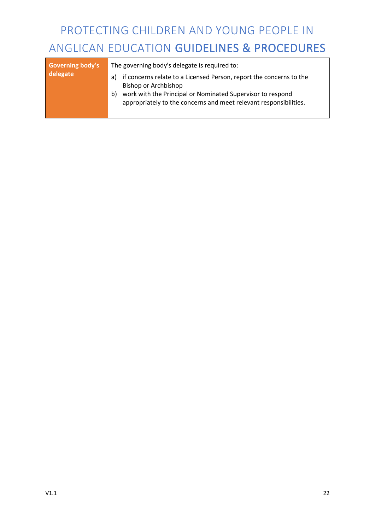| <b>Governing body's</b><br>delegate | The governing body's delegate is required to:<br>if concerns relate to a Licensed Person, report the concerns to the<br>a)<br>Bishop or Archbishop |
|-------------------------------------|----------------------------------------------------------------------------------------------------------------------------------------------------|
|                                     | work with the Principal or Nominated Supervisor to respond<br>b)<br>appropriately to the concerns and meet relevant responsibilities.              |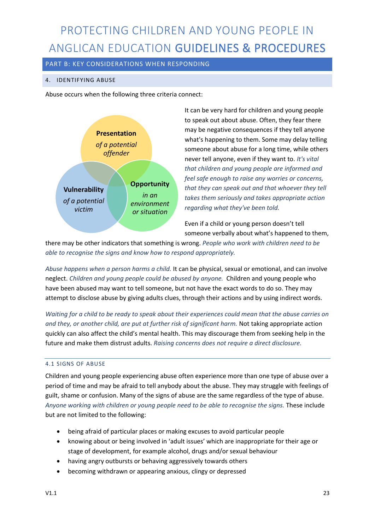PART B: KEY CONSIDERATIONS WHEN RESPONDING

#### 4. IDENTIFYING ABUSE

Abuse occurs when the following three criteria connect:



It can be very hard for children and young people to speak out about abuse. Often, they fear there may be negative consequences if they tell anyone what's happening to them. Some may delay telling someone about abuse for a long time, while others never tell anyone, even if they want to. *It's vital that children and young people are informed and feel safe enough to raise any worries or concerns, that they can speak out and that whoever they tell takes them seriously and takes appropriate action regarding what they've been told.* 

Even if a child or young person doesn't tell someone verbally about what's happened to them,

there may be other indicators that something is wrong. *People who work with children need to be able to recognise the signs and know how to respond appropriately.*

*Abuse happens when a person harms a child.* It can be physical, sexual or emotional, and can involve neglect. *Children and young people could be abused by anyone.* Children and young people who have been abused may want to tell someone, but not have the exact words to do so. They may attempt to disclose abuse by giving adults clues, through their actions and by using indirect words.

*Waiting for a child to be ready to speak about their experiences could mean that the abuse carries on and they, or another child, are put at further risk of significant harm.* Not taking appropriate action quickly can also affect the child's mental health. This may discourage them from seeking help in the future and make them distrust adults. *Raising concerns does not require a direct disclosure.*

#### 4.1 SIGNS OF ABUSE

Children and young people experiencing abuse often experience more than one type of abuse over a period of time and may be afraid to tell anybody about the abuse. They may struggle with feelings of guilt, shame or confusion. Many of the signs of abuse are the same regardless of the type of abuse. *Anyone working with children or young people need to be able to recognise the signs.* These include but are not limited to the following:

- being afraid of particular places or making excuses to avoid particular people
- knowing about or being involved in 'adult issues' which are inappropriate for their age or stage of development, for example alcohol, drugs and/or sexual behaviour
- having angry outbursts or behaving aggressively towards others
- becoming withdrawn or appearing anxious, clingy or depressed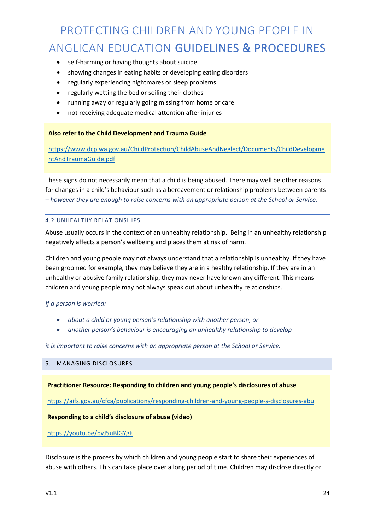- self-harming or having thoughts about suicide
- showing changes in eating habits or developing eating disorders
- regularly experiencing nightmares or sleep problems
- regularly wetting the bed or soiling their clothes
- running away or regularly going missing from home or care
- not receiving adequate medical attention after injuries

#### **Also refer to the Child Development and Trauma Guide**

https://www.dcp.wa.gov.au/ChildProtection/ChildAbuseAndNeglect/Documents/ChildDevelopme ntAndTraumaGuide.pdf

These signs do not necessarily mean that a child is being abused. There may well be other reasons for changes in a child's behaviour such as a bereavement or relationship problems between parents *– however they are enough to raise concerns with an appropriate person at the School or Service.*

#### 4.2 UNHEALTHY RELATIONSHIPS

Abuse usually occurs in the context of an unhealthy relationship. Being in an unhealthy relationship negatively affects a person's wellbeing and places them at risk of harm.

Children and young people may not always understand that a relationship is unhealthy. If they have been groomed for example, they may believe they are in a healthy relationship. If they are in an unhealthy or abusive family relationship, they may never have known any different. This means children and young people may not always speak out about unhealthy relationships.

#### *If a person is worried:*

- *about a child or young person's relationship with another person, or*
- *another person's behaviour is encouraging an unhealthy relationship to develop*

*it is important to raise concerns with an appropriate person at the School or Service.* 

#### 5. MANAGING DISCLOSURES

**Practitioner Resource: Responding to children and young people's disclosures of abuse**

https://aifs.gov.au/cfca/publications/responding-children-and-young-people-s-disclosures-abu

#### **Responding to a child's disclosure of abuse (video)**

#### https://youtu.be/bvJ5uBlGYgE

Disclosure is the process by which children and young people start to share their experiences of abuse with others. This can take place over a long period of time. Children may disclose directly or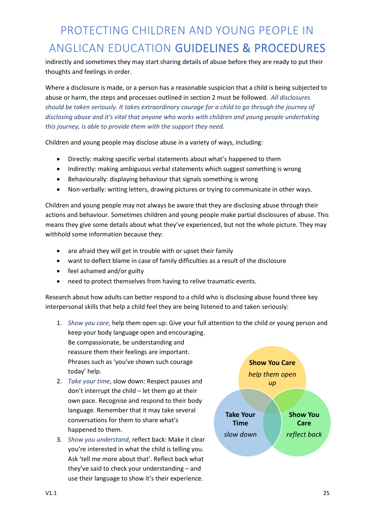indirectly and sometimes they may start sharing details of abuse before they are ready to put their thoughts and feelings in order.

Where a disclosure is made, or a person has a reasonable suspicion that a child is being subjected to abuse or harm, the steps and processes outlined in section 2 must be followed. *All disclosures should be taken seriously. It takes extraordinary courage for a child to go through the journey of disclosing abuse and it's vital that anyone who works with children and young people undertaking this journey, is able to provide them with the support they need.*

Children and young people may disclose abuse in a variety of ways, including:

- Directly: making specific verbal statements about what's happened to them
- Indirectly: making ambiguous verbal statements which suggest something is wrong
- Behaviourally: displaying behaviour that signals something is wrong
- Non-verbally: writing letters, drawing pictures or trying to communicate in other ways.

Children and young people may not always be aware that they are disclosing abuse through their actions and behaviour. Sometimes children and young people make partial disclosures of abuse. This means they give some details about what they've experienced, but not the whole picture. They may withhold some information because they:

- are afraid they will get in trouble with or upset their family
- want to deflect blame in case of family difficulties as a result of the disclosure
- feel ashamed and/or guilty
- need to protect themselves from having to relive traumatic events.

Research about how adults can better respond to a child who is disclosing abuse found three key interpersonal skills that help a child feel they are being listened to and taken seriously:

1. *Show you care,* help them open up: Give your full attention to the child or young person and keep your body language open and encouraging.

Be compassionate, be understanding and reassure them their feelings are important. Phrases such as 'you've shown such courage today' help.

- 2. *Take your time*, slow down: Respect pauses and don't interrupt the child – let them go at their own pace. Recognise and respond to their body language. Remember that it may take several conversations for them to share what's happened to them.
- 3. *Show you understand*, reflect back: Make it clear you're interested in what the child is telling you. Ask 'tell me more about that'. Reflect back what they've said to check your understanding – and use their language to show it's their experience.

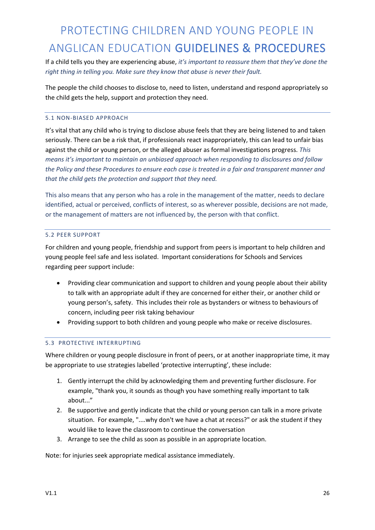If a child tells you they are experiencing abuse, *it's important to reassure them that they've done the right thing in telling you. Make sure they know that abuse is never their fault.* 

The people the child chooses to disclose to, need to listen, understand and respond appropriately so the child gets the help, support and protection they need.

#### 5.1 NON-BIASED APPROACH

It's vital that any child who is trying to disclose abuse feels that they are being listened to and taken seriously. There can be a risk that, if professionals react inappropriately, this can lead to unfair bias against the child or young person, or the alleged abuser as formal investigations progress. *This means it's important to maintain an unbiased approach when responding to disclosures and follow the Policy and these Procedures to ensure each case is treated in a fair and transparent manner and that the child gets the protection and support that they need.*

This also means that any person who has a role in the management of the matter, needs to declare identified, actual or perceived, conflicts of interest, so as wherever possible, decisions are not made, or the management of matters are not influenced by, the person with that conflict.

#### 5.2 PEER SUPPORT

For children and young people, friendship and support from peers is important to help children and young people feel safe and less isolated. Important considerations for Schools and Services regarding peer support include:

- Providing clear communication and support to children and young people about their ability to talk with an appropriate adult if they are concerned for either their, or another child or young person's, safety. This includes their role as bystanders or witness to behaviours of concern, including peer risk taking behaviour
- Providing support to both children and young people who make or receive disclosures.

#### 5.3 PROTECTIVE INTERRUPTING

Where children or young people disclosure in front of peers, or at another inappropriate time, it may be appropriate to use strategies labelled 'protective interrupting', these include:

- 1. Gently interrupt the child by acknowledging them and preventing further disclosure. For example, "thank you, it sounds as though you have something really important to talk about..."
- 2. Be supportive and gently indicate that the child or young person can talk in a more private situation. For example, "....why don't we have a chat at recess?" or ask the student if they would like to leave the classroom to continue the conversation
- 3. Arrange to see the child as soon as possible in an appropriate location.

Note: for injuries seek appropriate medical assistance immediately.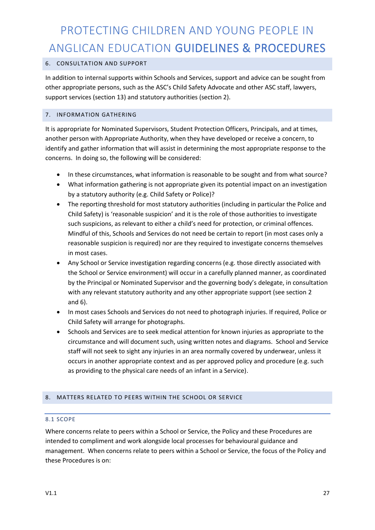#### 6. CONSULTATION AND SUPPORT

In addition to internal supports within Schools and Services, support and advice can be sought from other appropriate persons, such as the ASC's Child Safety Advocate and other ASC staff, lawyers, support services (section 13) and statutory authorities (section 2).

#### 7. INFORMATION GATHERING

It is appropriate for Nominated Supervisors, Student Protection Officers, Principals, and at times, another person with Appropriate Authority, when they have developed or receive a concern, to identify and gather information that will assist in determining the most appropriate response to the concerns. In doing so, the following will be considered:

- In these circumstances, what information is reasonable to be sought and from what source?
- What information gathering is not appropriate given its potential impact on an investigation by a statutory authority (e.g. Child Safety or Police)?
- The reporting threshold for most statutory authorities (including in particular the Police and Child Safety) is 'reasonable suspicion' and it is the role of those authorities to investigate such suspicions, as relevant to either a child's need for protection, or criminal offences. Mindful of this, Schools and Services do not need be certain to report (in most cases only a reasonable suspicion is required) nor are they required to investigate concerns themselves in most cases.
- Any School or Service investigation regarding concerns (e.g. those directly associated with the School or Service environment) will occur in a carefully planned manner, as coordinated by the Principal or Nominated Supervisor and the governing body's delegate, in consultation with any relevant statutory authority and any other appropriate support (see section 2 and 6).
- In most cases Schools and Services do not need to photograph injuries. If required, Police or Child Safety will arrange for photographs.
- Schools and Services are to seek medical attention for known injuries as appropriate to the circumstance and will document such, using written notes and diagrams. School and Service staff will not seek to sight any injuries in an area normally covered by underwear, unless it occurs in another appropriate context and as per approved policy and procedure (e.g. such as providing to the physical care needs of an infant in a Service).

#### 8. MATTERS RELATED TO PEERS WITHIN THE SCHOOL OR SERVICE

#### 8.1 SCOPE

Where concerns relate to peers within a School or Service, the Policy and these Procedures are intended to compliment and work alongside local processes for behavioural guidance and management. When concerns relate to peers within a School or Service, the focus of the Policy and these Procedures is on: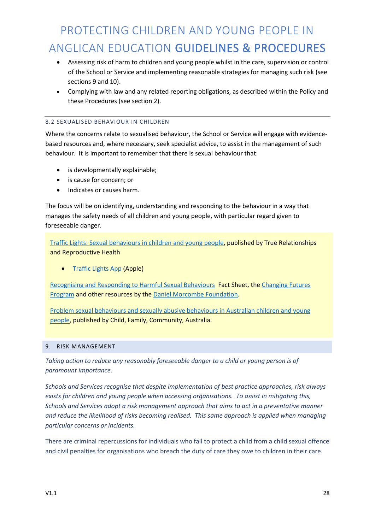- Assessing risk of harm to children and young people whilst in the care, supervision or control of the School or Service and implementing reasonable strategies for managing such risk (see sections 9 and 10).
- Complying with law and any related reporting obligations, as described within the Policy and these Procedures (see section 2).

#### 8.2 SEXUALISED BEHAVIOUR IN CHILDREN

Where the concerns relate to sexualised behaviour, the School or Service will engage with evidencebased resources and, where necessary, seek specialist advice, to assist in the management of such behaviour. It is important to remember that there is sexual behaviour that:

- is developmentally explainable;
- is cause for concern; or
- Indicates or causes harm.

The focus will be on identifying, understanding and responding to the behaviour in a way that manages the safety needs of all children and young people, with particular regard given to foreseeable danger.

Traffic Lights: Sexual behaviours in children and young people, published by True Relationships and Reproductive Health

• Traffic Lights App (Apple)

Recognising and Responding to Harmful Sexual Behaviours Fact Sheet, the Changing Futures Program and other resources by the Daniel Morcombe Foundation.

Problem sexual behaviours and sexually abusive behaviours in Australian children and young people, published by Child, Family, Community, Australia.

#### 9. RISK MANAGEMENT

*Taking action to reduce any reasonably foreseeable danger to a child or young person is of paramount importance.* 

*Schools and Services recognise that despite implementation of best practice approaches, risk always exists for children and young people when accessing organisations. To assist in mitigating this, Schools and Services adopt a risk management approach that aims to act in a preventative manner and reduce the likelihood of risks becoming realised. This same approach is applied when managing particular concerns or incidents.*

There are criminal repercussions for individuals who fail to protect a child from a child sexual offence and civil penalties for organisations who breach the duty of care they owe to children in their care.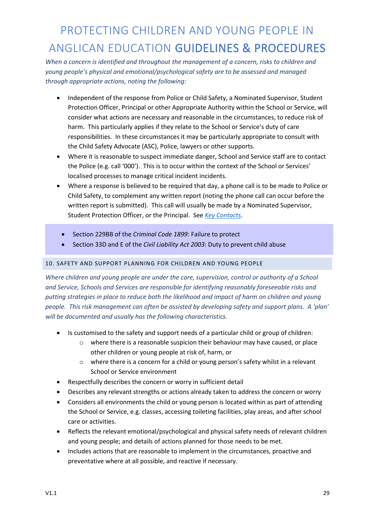*When a concern is identified and throughout the management of a concern, risks to children and young people's physical and emotional/psychological safety are to be assessed and managed through appropriate actions, noting the following:*

- Independent of the response from Police or Child Safety, a Nominated Supervisor, Student Protection Officer, Principal or other Appropriate Authority within the School or Service, will consider what actions are necessary and reasonable in the circumstances, to reduce risk of harm. This particularly applies if they relate to the School or Service's duty of care responsibilities. In these circumstances it may be particularly appropriate to consult with the Child Safety Advocate (ASC), Police, lawyers or other supports.
- Where it is reasonable to suspect immediate danger, School and Service staff are to contact the Police (e.g. call '000'). This is to occur within the context of the School or Services' localised processes to manage critical incident incidents.
- Where a response is believed to be required that day, a phone call is to be made to Police or Child Safety, to complement any written report (noting the phone call can occur before the written report is submitted). This call will usually be made by a Nominated Supervisor, Student Protection Officer, or the Principal. See *Key Contacts*.
	- Section 229BB of the *Criminal Code 1899*: Failure to protect
	- Section 33D and E of the *Civil Liability Act 2003*: Duty to prevent child abuse

#### 10. SAFETY AND SUPPORT PLANNING FOR CHILDREN AND YOUNG PEOPLE

*Where children and young people are under the care, supervision, control or authority of a School and Service, Schools and Services are responsible for identifying reasonably foreseeable risks and putting strategies in place to reduce both the likelihood and impact of harm on children and young people. This risk management can often be assisted by developing safety and support plans. A 'plan' will be documented and usually has the following characteristics.* 

- Is customised to the safety and support needs of a particular child or group of children:
	- $\circ$  where there is a reasonable suspicion their behaviour may have caused, or place other children or young people at risk of, harm, or
	- $\circ$  where there is a concern for a child or young person's safety whilst in a relevant School or Service environment
- Respectfully describes the concern or worry in sufficient detail
- Describes any relevant strengths or actions already taken to address the concern or worry
- Considers all environments the child or young person is located within as part of attending the School or Service, e.g. classes, accessing toileting facilities, play areas, and after school care or activities.
- Reflects the relevant emotional/psychological and physical safety needs of relevant children and young people; and details of actions planned for those needs to be met.
- Includes actions that are reasonable to implement in the circumstances, proactive and preventative where at all possible, and reactive if necessary.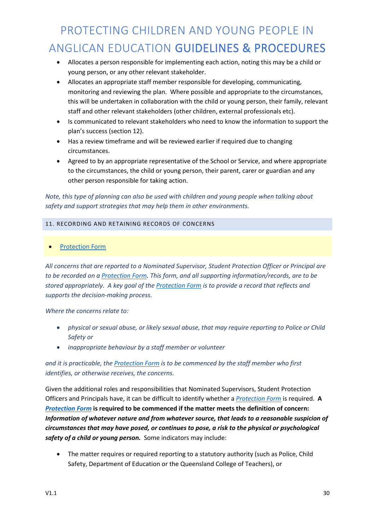- Allocates a person responsible for implementing each action, noting this may be a child or young person, or any other relevant stakeholder.
- Allocates an appropriate staff member responsible for developing, communicating, monitoring and reviewing the plan. Where possible and appropriate to the circumstances, this will be undertaken in collaboration with the child or young person, their family, relevant staff and other relevant stakeholders (other children, external professionals etc).
- Is communicated to relevant stakeholders who need to know the information to support the plan's success (section 12).
- Has a review timeframe and will be reviewed earlier if required due to changing circumstances.
- Agreed to by an appropriate representative of the School or Service, and where appropriate to the circumstances, the child or young person, their parent, carer or guardian and any other person responsible for taking action.

*Note, this type of planning can also be used with children and young people when talking about safety and support strategies that may help them in other environments.* 

#### 11. RECORDING AND RETAINING RECORDS OF CONCERNS

• Protection Form

*All concerns that are reported to a Nominated Supervisor, Student Protection Officer or Principal are to be recorded on a Protection Form. This form, and all supporting information/records, are to be stored appropriately. A key goal of the Protection Form is to provide a record that reflects and supports the decision-making process.*

*Where the concerns relate to:*

- *physical or sexual abuse, or likely sexual abuse, that may require reporting to Police or Child Safety or*
- *inappropriate behaviour by a staff member or volunteer*

#### *and it is practicable, the Protection Form is to be commenced by the staff member who first identifies, or otherwise receives, the concerns.*

Given the additional roles and responsibilities that Nominated Supervisors, Student Protection Officers and Principals have, it can be difficult to identify whether a *Protection Form* is required. **A**  *Protection Form* **is required to be commenced if the matter meets the definition of concern:**  *Information of whatever nature and from whatever source, that leads to a reasonable suspicion of circumstances that may have posed, or continues to pose, a risk to the physical or psychological safety of a child or young person.* Some indicators may include:

• The matter requires or required reporting to a statutory authority (such as Police, Child Safety, Department of Education or the Queensland College of Teachers), or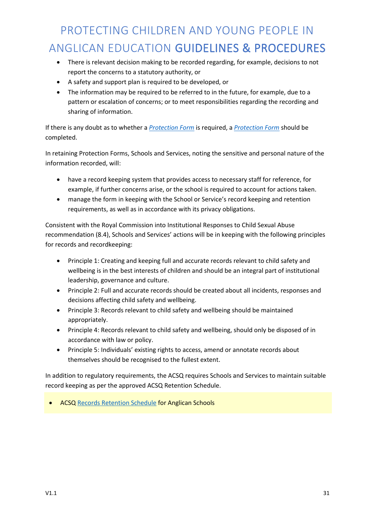- There is relevant decision making to be recorded regarding, for example, decisions to not report the concerns to a statutory authority, or
- A safety and support plan is required to be developed, or
- The information may be required to be referred to in the future, for example, due to a pattern or escalation of concerns; or to meet responsibilities regarding the recording and sharing of information.

If there is any doubt as to whether a *Protection Form* is required, a *Protection Form* should be completed.

In retaining Protection Forms, Schools and Services, noting the sensitive and personal nature of the information recorded, will:

- have a record keeping system that provides access to necessary staff for reference, for example, if further concerns arise, or the school is required to account for actions taken.
- manage the form in keeping with the School or Service's record keeping and retention requirements, as well as in accordance with its privacy obligations.

Consistent with the Royal Commission into Institutional Responses to Child Sexual Abuse recommendation (8.4), Schools and Services' actions will be in keeping with the following principles for records and recordkeeping:

- Principle 1: Creating and keeping full and accurate records relevant to child safety and wellbeing is in the best interests of children and should be an integral part of institutional leadership, governance and culture.
- Principle 2: Full and accurate records should be created about all incidents, responses and decisions affecting child safety and wellbeing.
- Principle 3: Records relevant to child safety and wellbeing should be maintained appropriately.
- Principle 4: Records relevant to child safety and wellbeing, should only be disposed of in accordance with law or policy.
- Principle 5: Individuals' existing rights to access, amend or annotate records about themselves should be recognised to the fullest extent.

In addition to regulatory requirements, the ACSQ requires Schools and Services to maintain suitable record keeping as per the approved ACSQ Retention Schedule.

**ACSQ Records Retention Schedule for Anglican Schools**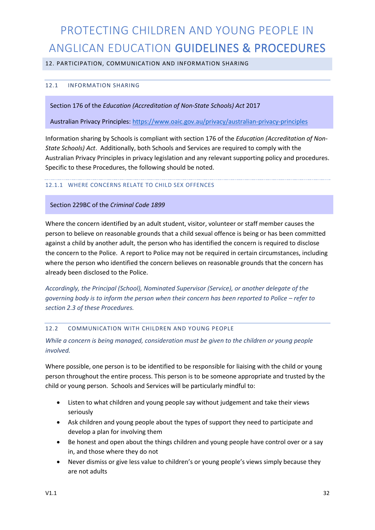#### 12. PARTICIPATION, COMMUNICATION AND INFORMATION SHARING

#### 12.1 INFORMATION SHARING

Section 176 of the *Education (Accreditation of Non-State Schools) Act* 2017

Australian Privacy Principles: https://www.oaic.gov.au/privacy/australian-privacy-principles

Information sharing by Schools is compliant with section 176 of the *Education (Accreditation of Non-State Schools) Act*. Additionally, both Schools and Services are required to comply with the Australian Privacy Principles in privacy legislation and any relevant supporting policy and procedures. Specific to these Procedures, the following should be noted.

#### 12.1.1 WHERE CONCERNS RELATE TO CHILD SEX OFFENCES

#### Section 229BC of the *Criminal Code 1899*

Where the concern identified by an adult student, visitor, volunteer or staff member causes the person to believe on reasonable grounds that a child sexual offence is being or has been committed against a child by another adult, the person who has identified the concern is required to disclose the concern to the Police. A report to Police may not be required in certain circumstances, including where the person who identified the concern believes on reasonable grounds that the concern has already been disclosed to the Police.

*Accordingly, the Principal (School), Nominated Supervisor (Service), or another delegate of the governing body is to inform the person when their concern has been reported to Police – refer to section 2.3 of these Procedures.*

#### 12.2 COMMUNICATION WITH CHILDREN AND YOUNG PEOPLE

*While a concern is being managed, consideration must be given to the children or young people involved.* 

Where possible, one person is to be identified to be responsible for liaising with the child or young person throughout the entire process. This person is to be someone appropriate and trusted by the child or young person. Schools and Services will be particularly mindful to:

- Listen to what children and young people say without judgement and take their views seriously
- Ask children and young people about the types of support they need to participate and develop a plan for involving them
- Be honest and open about the things children and young people have control over or a say in, and those where they do not
- Never dismiss or give less value to children's or young people's views simply because they are not adults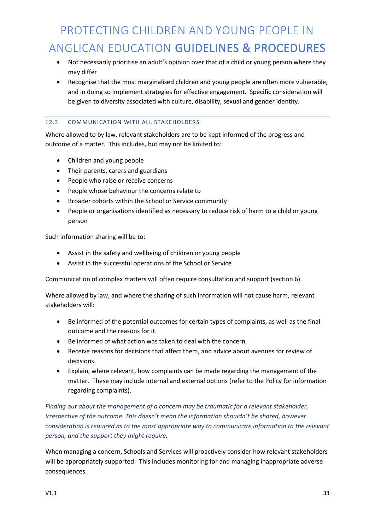- Not necessarily prioritise an adult's opinion over that of a child or young person where they may differ
- Recognise that the most marginalised children and young people are often more vulnerable, and in doing so implement strategies for effective engagement. Specific consideration will be given to diversity associated with culture, disability, sexual and gender identity.

#### 12.3 COMMUNICATION WITH ALL STAKEHOLDERS

Where allowed to by law, relevant stakeholders are to be kept informed of the progress and outcome of a matter. This includes, but may not be limited to:

- Children and young people
- Their parents, carers and guardians
- People who raise or receive concerns
- People whose behaviour the concerns relate to
- Broader cohorts within the School or Service community
- People or organisations identified as necessary to reduce risk of harm to a child or young person

Such information sharing will be to:

- Assist in the safety and wellbeing of children or young people
- Assist in the successful operations of the School or Service

Communication of complex matters will often require consultation and support (section 6).

Where allowed by law, and where the sharing of such information will not cause harm, relevant stakeholders will:

- Be informed of the potential outcomes for certain types of complaints, as well as the final outcome and the reasons for it.
- Be informed of what action was taken to deal with the concern.
- Receive reasons for decisions that affect them, and advice about avenues for review of decisions.
- Explain, where relevant, how complaints can be made regarding the management of the matter. These may include internal and external options (refer to the Policy for information regarding complaints).

*Finding out about the management of a concern may be traumatic for a relevant stakeholder, irrespective of the outcome. This doesn't mean the information shouldn't be shared, however consideration is required as to the most appropriate way to communicate information to the relevant person, and the support they might require.*

When managing a concern, Schools and Services will proactively consider how relevant stakeholders will be appropriately supported. This includes monitoring for and managing inappropriate adverse consequences.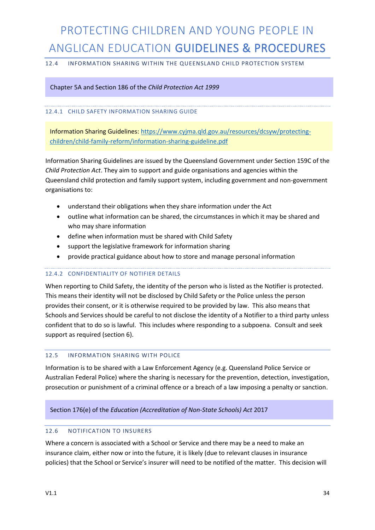#### 12.4 INFORMATION SHARING WITHIN THE QUEENSLAND CHILD PROTECTION SYSTEM

Chapter 5A and Section 186 of the *Child Protection Act 1999*

#### 12.4.1 CHILD SAFETY INFORMATION SHARING GUIDE

Information Sharing Guidelines: https://www.cyjma.qld.gov.au/resources/dcsyw/protectingchildren/child-family-reform/information-sharing-guideline.pdf

Information Sharing Guidelines are issued by the Queensland Government under Section 159C of the *Child Protection Act*. They aim to support and guide organisations and agencies within the Queensland child protection and family support system, including government and non-government organisations to:

- understand their obligations when they share information under the Act
- outline what information can be shared, the circumstances in which it may be shared and who may share information
- define when information must be shared with Child Safety
- support the legislative framework for information sharing
- provide practical guidance about how to store and manage personal information

#### 12.4.2 CONFIDENTIALITY OF NOTIFIER DETAILS

When reporting to Child Safety, the identity of the person who is listed as the Notifier is protected. This means their identity will not be disclosed by Child Safety or the Police unless the person provides their consent, or it is otherwise required to be provided by law. This also means that Schools and Services should be careful to not disclose the identity of a Notifier to a third party unless confident that to do so is lawful. This includes where responding to a subpoena. Consult and seek support as required (section 6).

#### 12.5 INFORMATION SHARING WITH POLICE

Information is to be shared with a Law Enforcement Agency (e.g. Queensland Police Service or Australian Federal Police) where the sharing is necessary for the prevention, detection, investigation, prosecution or punishment of a criminal offence or a breach of a law imposing a penalty or sanction.

#### Section 176(e) of the *Education (Accreditation of Non-State Schools) Act* 2017

#### 12.6 NOTIFICATION TO INSURERS

Where a concern is associated with a School or Service and there may be a need to make an insurance claim, either now or into the future, it is likely (due to relevant clauses in insurance policies) that the School or Service's insurer will need to be notified of the matter. This decision will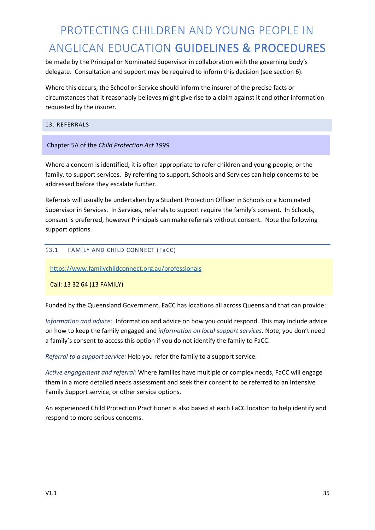be made by the Principal or Nominated Supervisor in collaboration with the governing body's delegate. Consultation and support may be required to inform this decision (see section 6).

Where this occurs, the School or Service should inform the insurer of the precise facts or circumstances that it reasonably believes might give rise to a claim against it and other information requested by the insurer.

#### 13. REFERRALS

#### Chapter 5A of the *Child Protection Act 1999*

Where a concern is identified, it is often appropriate to refer children and young people, or the family, to support services. By referring to support, Schools and Services can help concerns to be addressed before they escalate further.

Referrals will usually be undertaken by a Student Protection Officer in Schools or a Nominated Supervisor in Services. In Services, referrals to support require the family's consent. In Schools, consent is preferred, however Principals can make referrals without consent. Note the following support options.

#### 13.1 FAMILY AND CHILD CONNECT (FaCC)

https://www.familychildconnect.org.au/professionals

Call: 13 32 64 (13 FAMILY)

Funded by the Queensland Government, FaCC has locations all across Queensland that can provide:

*Information and advice:* Information and advice on how you could respond. This may include advice on how to keep the family engaged and *information on local support services*. Note, you don't need a family's consent to access this option if you do not identify the family to FaCC.

*Referral to a support service:* Help you refer the family to a support service.

*Active engagement and referral:* Where families have multiple or complex needs, FaCC will engage them in a more detailed needs assessment and seek their consent to be referred to an Intensive Family Support service, or other service options.

An experienced Child Protection Practitioner is also based at each FaCC location to help identify and respond to more serious concerns.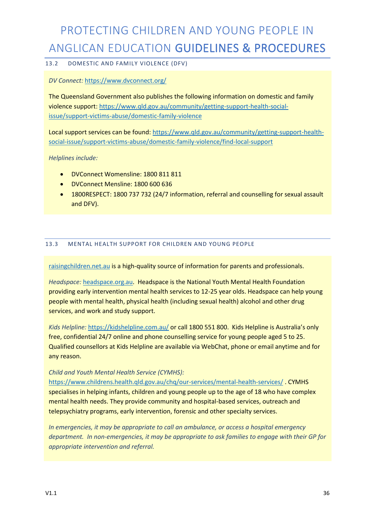#### 13.2 DOMESTIC AND FAMILY VIOLENCE (DFV)

#### *DV Connect:* https://www.dvconnect.org/

The Queensland Government also publishes the following information on domestic and family violence support: https://www.qld.gov.au/community/getting-support-health-socialissue/support-victims-abuse/domestic-family-violence

Local support services can be found: https://www.qld.gov.au/community/getting-support-healthsocial-issue/support-victims-abuse/domestic-family-violence/find-local-support

*Helplines include:*

- DVConnect Womensline: 1800 811 811
- DVConnect Mensline: 1800 600 636
- 1800RESPECT: 1800 737 732 (24/7 information, referral and counselling for sexual assault and DFV).

#### 13.3 MENTAL HEALTH SUPPORT FOR CHILDREN AND YOUNG PEOPLE

raisingchildren.net.au is a high-quality source of information for parents and professionals.

*Headspace:* headspace.org.au. Headspace is the National Youth Mental Health Foundation providing early intervention mental health services to 12-25 year olds. Headspace can help young people with mental health, physical health (including sexual health) alcohol and other drug services, and work and study support.

*Kids Helpline:* https://kidshelpline.com.au/ or call 1800 551 800. Kids Helpline is Australia's only free, confidential 24/7 online and phone counselling service for young people aged 5 to 25. Qualified counsellors at Kids Helpline are available via WebChat, phone or email anytime and for any reason.

*Child and Youth Mental Health Service (CYMHS):* 

https://www.childrens.health.qld.gov.au/chq/our-services/mental-health-services/ . CYMHS specialises in helping infants, children and young people up to the age of 18 who have complex mental health needs. They provide community and hospital-based services, outreach and telepsychiatry programs, early intervention, forensic and other specialty services.

*In emergencies, it may be appropriate to call an ambulance, or access a hospital emergency department. In non-emergencies, it may be appropriate to ask families to engage with their GP for appropriate intervention and referral.*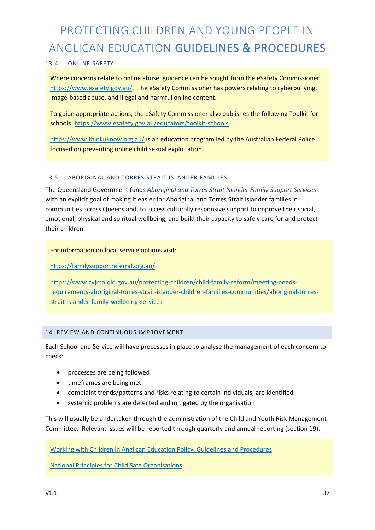#### 13.4 ONLINE SAFETY

Where concerns relate to online abuse, guidance can be sought from the eSafety Commissioner https://www.esafety.gov.au/. The eSafety Commissioner has powers relating to cyberbullying, image-based abuse, and illegal and harmful online content.

To guide appropriate actions, the eSafety Commissioner also publishes the following Toolkit for schools: https://www.esafety.gov.au/educators/toolkit-schools

https://www.thinkuknow.org.au/ is an education program led by the Australian Federal Police focused on preventing online child sexual exploitation.

#### 13.5 ABORIGINAL AND TORRES STRAIT ISLANDER FAMILIES

The Queensland Government funds *Aboriginal and Torres Strait Islander Family Support Services* with an explicit goal of making it easier for Aboriginal and Torres Strait Islander families in communities across Queensland, to access culturally responsive support to improve their social, emotional, physical and spiritual wellbeing, and build their capacity to safely care for and protect their children.

For information on local service options visit:

https://familysupportreferral.org.au/

https://www.cyjma.qld.gov.au/protecting-children/child-family-reform/meeting-needsrequirements-aboriginal-torres-strait-islander-children-families-communities/aboriginal-torresstrait-islander-family-wellbeing-services

#### 14. REVIEW AND CONTINUOUS IMPROVEMENT

Each School and Service will have processes in place to analyse the management of each concern to check:

- processes are being followed
- timeframes are being met
- complaint trends/patterns and risks relating to certain individuals, are identified
- systemic problems are detected and mitigated by the organisation

This will usually be undertaken through the administration of the Child and Youth Risk Management Committee. Relevant issues will be reported through quarterly and annual reporting (section 19).

Working with Children in Anglican Education Policy, Guidelines and Procedures

National Principles for Child Safe Organisations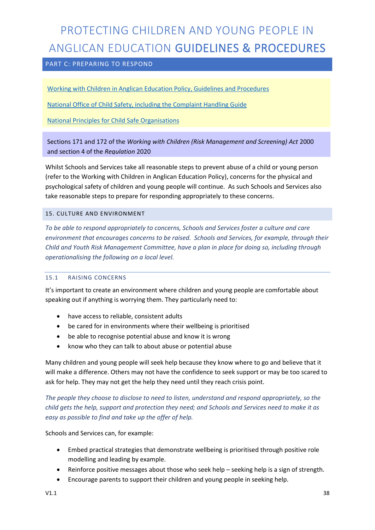#### PART C: PREPARING TO RESPOND

Working with Children in Anglican Education Policy, Guidelines and Procedures

National Office of Child Safety, including the Complaint Handling Guide

National Principles for Child Safe Organisations

Sections 171 and 172 of the *Working with Children (Risk Management and Screening) Act* 2000 and section 4 of the *Regulation* 2020

Whilst Schools and Services take all reasonable steps to prevent abuse of a child or young person (refer to the Working with Children in Anglican Education Policy), concerns for the physical and psychological safety of children and young people will continue. As such Schools and Services also take reasonable steps to prepare for responding appropriately to these concerns.

#### 15. CULTURE AND ENVIRONMENT

*To be able to respond appropriately to concerns, Schools and Services foster a culture and care environment that encourages concerns to be raised. Schools and Services, for example, through their Child and Youth Risk Management Committee, have a plan in place for doing so, including through operationalising the following on a local level.*

#### 15.1 RAISING CONCERNS

It's important to create an environment where children and young people are comfortable about speaking out if anything is worrying them. They particularly need to:

- have access to reliable, consistent adults
- be cared for in environments where their wellbeing is prioritised
- be able to recognise potential abuse and know it is wrong
- know who they can talk to about abuse or potential abuse

Many children and young people will seek help because they know where to go and believe that it will make a difference. Others may not have the confidence to seek support or may be too scared to ask for help. They may not get the help they need until they reach crisis point.

*The people they choose to disclose to need to listen, understand and respond appropriately, so the child gets the help, support and protection they need; and Schools and Services need to make it as easy as possible to find and take up the offer of help.* 

Schools and Services can, for example:

- Embed practical strategies that demonstrate wellbeing is prioritised through positive role modelling and leading by example.
- Reinforce positive messages about those who seek help seeking help is a sign of strength.
- Encourage parents to support their children and young people in seeking help.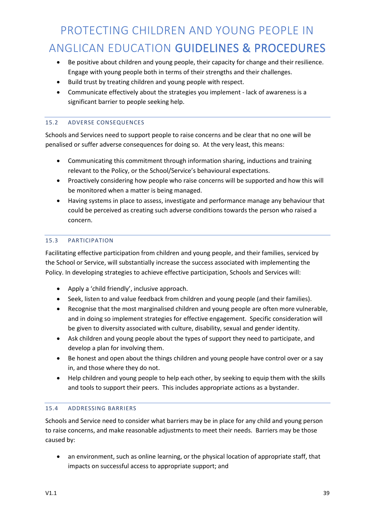- Be positive about children and young people, their capacity for change and their resilience. Engage with young people both in terms of their strengths and their challenges.
- Build trust by treating children and young people with respect.
- Communicate effectively about the strategies you implement lack of awareness is a significant barrier to people seeking help.

#### 15.2 ADVERSE CONSEQUENCES

Schools and Services need to support people to raise concerns and be clear that no one will be penalised or suffer adverse consequences for doing so. At the very least, this means:

- Communicating this commitment through information sharing, inductions and training relevant to the Policy, or the School/Service's behavioural expectations.
- Proactively considering how people who raise concerns will be supported and how this will be monitored when a matter is being managed.
- Having systems in place to assess, investigate and performance manage any behaviour that could be perceived as creating such adverse conditions towards the person who raised a concern.

#### 15.3 PARTICIPATION

Facilitating effective participation from children and young people, and their families, serviced by the School or Service, will substantially increase the success associated with implementing the Policy. In developing strategies to achieve effective participation, Schools and Services will:

- Apply a 'child friendly', inclusive approach.
- Seek, listen to and value feedback from children and young people (and their families).
- Recognise that the most marginalised children and young people are often more vulnerable, and in doing so implement strategies for effective engagement. Specific consideration will be given to diversity associated with culture, disability, sexual and gender identity.
- Ask children and young people about the types of support they need to participate, and develop a plan for involving them.
- Be honest and open about the things children and young people have control over or a say in, and those where they do not.
- Help children and young people to help each other, by seeking to equip them with the skills and tools to support their peers. This includes appropriate actions as a bystander.

#### 15.4 ADDRESSING BARRIERS

Schools and Service need to consider what barriers may be in place for any child and young person to raise concerns, and make reasonable adjustments to meet their needs. Barriers may be those caused by:

• an environment, such as online learning, or the physical location of appropriate staff, that impacts on successful access to appropriate support; and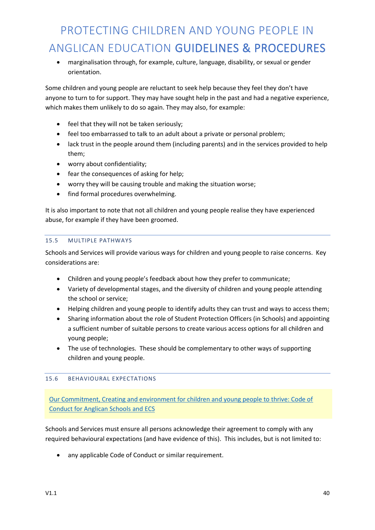• marginalisation through, for example, culture, language, disability, or sexual or gender orientation.

Some children and young people are reluctant to seek help because they feel they don't have anyone to turn to for support. They may have sought help in the past and had a negative experience, which makes them unlikely to do so again. They may also, for example:

- feel that they will not be taken seriously;
- feel too embarrassed to talk to an adult about a private or personal problem;
- lack trust in the people around them (including parents) and in the services provided to help them;
- worry about confidentiality;
- fear the consequences of asking for help;
- worry they will be causing trouble and making the situation worse;
- find formal procedures overwhelming.

It is also important to note that not all children and young people realise they have experienced abuse, for example if they have been groomed.

#### 15.5 MULTIPLE PATHWAYS

Schools and Services will provide various ways for children and young people to raise concerns. Key considerations are:

- Children and young people's feedback about how they prefer to communicate;
- Variety of developmental stages, and the diversity of children and young people attending the school or service;
- Helping children and young people to identify adults they can trust and ways to access them;
- Sharing information about the role of Student Protection Officers (in Schools) and appointing a sufficient number of suitable persons to create various access options for all children and young people;
- The use of technologies. These should be complementary to other ways of supporting children and young people.

#### 15.6 BEHAVIOURAL EXPECTATIONS

Our Commitment, Creating and environment for children and young people to thrive: Code of Conduct for Anglican Schools and ECS

Schools and Services must ensure all persons acknowledge their agreement to comply with any required behavioural expectations (and have evidence of this). This includes, but is not limited to:

• any applicable Code of Conduct or similar requirement.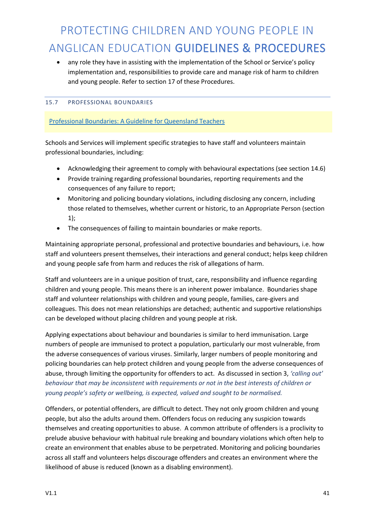• any role they have in assisting with the implementation of the School or Service's policy implementation and, responsibilities to provide care and manage risk of harm to children and young people. Refer to section 17 of these Procedures.

#### 15.7 PROFESSIONAL BOUNDARIES

#### Professional Boundaries: A Guideline for Queensland Teachers

Schools and Services will implement specific strategies to have staff and volunteers maintain professional boundaries, including:

- Acknowledging their agreement to comply with behavioural expectations (see section 14.6)
- Provide training regarding professional boundaries, reporting requirements and the consequences of any failure to report;
- Monitoring and policing boundary violations, including disclosing any concern, including those related to themselves, whether current or historic, to an Appropriate Person (section 1);
- The consequences of failing to maintain boundaries or make reports.

Maintaining appropriate personal, professional and protective boundaries and behaviours, i.e. how staff and volunteers present themselves, their interactions and general conduct; helps keep children and young people safe from harm and reduces the risk of allegations of harm.

Staff and volunteers are in a unique position of trust, care, responsibility and influence regarding children and young people. This means there is an inherent power imbalance. Boundaries shape staff and volunteer relationships with children and young people, families, care-givers and colleagues. This does not mean relationships are detached; authentic and supportive relationships can be developed without placing children and young people at risk.

Applying expectations about behaviour and boundaries is similar to herd immunisation. Large numbers of people are immunised to protect a population, particularly our most vulnerable, from the adverse consequences of various viruses. Similarly, larger numbers of people monitoring and policing boundaries can help protect children and young people from the adverse consequences of abuse, through limiting the opportunity for offenders to act. As discussed in section 3, *'calling out' behaviour that may be inconsistent with requirements or not in the best interests of children or young people's safety or wellbeing, is expected, valued and sought to be normalised.*

Offenders, or potential offenders, are difficult to detect. They not only groom children and young people, but also the adults around them. Offenders focus on reducing any suspicion towards themselves and creating opportunities to abuse. A common attribute of offenders is a proclivity to prelude abusive behaviour with habitual rule breaking and boundary violations which often help to create an environment that enables abuse to be perpetrated. Monitoring and policing boundaries across all staff and volunteers helps discourage offenders and creates an environment where the likelihood of abuse is reduced (known as a disabling environment).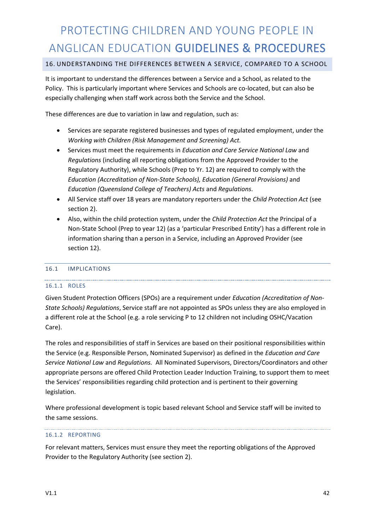#### 16. UNDERSTANDING THE DIFFERENCES BETWEEN A SERVICE, COMPARED TO A SCHOOL

It is important to understand the differences between a Service and a School, as related to the Policy. This is particularly important where Services and Schools are co-located, but can also be especially challenging when staff work across both the Service and the School.

These differences are due to variation in law and regulation, such as:

- Services are separate registered businesses and types of regulated employment, under the *Working with Children (Risk Management and Screening) Act.*
- Services must meet the requirements in *Education and Care Service National Law* and *Regulations* (including all reporting obligations from the Approved Provider to the Regulatory Authority), while Schools (Prep to Yr. 12) are required to comply with the *Education (Accreditation of Non-State Schools), Education (General Provisions)* and *Education (Queensland College of Teachers) Acts* and *Regulations*.
- All Service staff over 18 years are mandatory reporters under the *Child Protection Act* (see section 2).
- Also, within the child protection system, under the *Child Protection Act* the Principal of a Non-State School (Prep to year 12) (as a 'particular Prescribed Entity') has a different role in information sharing than a person in a Service, including an Approved Provider (see section 12).

#### 16.1 IMPLICATIONS

#### 16.1.1 ROLES

Given Student Protection Officers (SPOs) are a requirement under *Education (Accreditation of Non-State Schools) Regulations*, Service staff are not appointed as SPOs unless they are also employed in a different role at the School (e.g. a role servicing P to 12 children not including OSHC/Vacation Care).

The roles and responsibilities of staff in Services are based on their positional responsibilities within the Service (e.g. Responsible Person, Nominated Supervisor) as defined in the *Education and Care Service National Law* and *Regulations.* All Nominated Supervisors, Directors/Coordinators and other appropriate persons are offered Child Protection Leader Induction Training, to support them to meet the Services' responsibilities regarding child protection and is pertinent to their governing legislation.

Where professional development is topic based relevant School and Service staff will be invited to the same sessions.

#### 16.1.2 REPORTING

For relevant matters, Services must ensure they meet the reporting obligations of the Approved Provider to the Regulatory Authority (see section 2).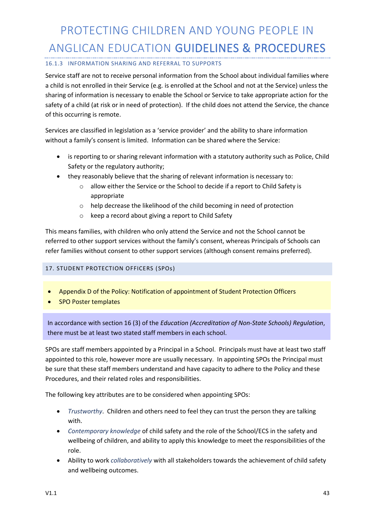#### 16.1.3 INFORMATION SHARING AND REFERRAL TO SUPPORTS

Service staff are not to receive personal information from the School about individual families where a child is not enrolled in their Service (e.g. is enrolled at the School and not at the Service) unless the sharing of information is necessary to enable the School or Service to take appropriate action for the safety of a child (at risk or in need of protection). If the child does not attend the Service, the chance of this occurring is remote.

Services are classified in legislation as a 'service provider' and the ability to share information without a family's consent is limited. Information can be shared where the Service:

- is reporting to or sharing relevant information with a statutory authority such as Police, Child Safety or the regulatory authority;
- they reasonably believe that the sharing of relevant information is necessary to:
	- o allow either the Service or the School to decide if a report to Child Safety is appropriate
	- o help decrease the likelihood of the child becoming in need of protection
	- o keep a record about giving a report to Child Safety

This means families, with children who only attend the Service and not the School cannot be referred to other support services without the family's consent, whereas Principals of Schools can refer families without consent to other support services (although consent remains preferred).

#### 17. STUDENT PROTECTION OFFICERS ( SPOs)

- Appendix D of the Policy: Notification of appointment of Student Protection Officers
- SPO Poster templates

In accordance with section 16 (3) of the *Education (Accreditation of Non-State Schools) Regulation*, there must be at least two stated staff members in each school.

SPOs are staff members appointed by a Principal in a School. Principals must have at least two staff appointed to this role, however more are usually necessary. In appointing SPOs the Principal must be sure that these staff members understand and have capacity to adhere to the Policy and these Procedures, and their related roles and responsibilities.

The following key attributes are to be considered when appointing SPOs:

- *Trustworthy*. Children and others need to feel they can trust the person they are talking with.
- *Contemporary knowledge* of child safety and the role of the School/ECS in the safety and wellbeing of children, and ability to apply this knowledge to meet the responsibilities of the role.
- Ability to work *collaboratively* with all stakeholders towards the achievement of child safety and wellbeing outcomes.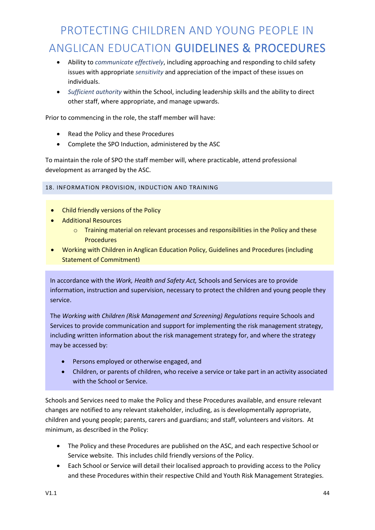- Ability to *communicate effectively*, including approaching and responding to child safety issues with appropriate *sensitivity* and appreciation of the impact of these issues on individuals.
- *Sufficient authority* within the School, including leadership skills and the ability to direct other staff, where appropriate, and manage upwards.

Prior to commencing in the role, the staff member will have:

- Read the Policy and these Procedures
- Complete the SPO Induction, administered by the ASC

To maintain the role of SPO the staff member will, where practicable, attend professional development as arranged by the ASC.

18. INFORMATION PROVISION, INDUCTION AND TRAINING

- Child friendly versions of the Policy
- Additional Resources
	- $\circ$  Training material on relevant processes and responsibilities in the Policy and these **Procedures**
- Working with Children in Anglican Education Policy, Guidelines and Procedures (including Statement of Commitment)

In accordance with the *Work, Health and Safety Act,* Schools and Services are to provide information, instruction and supervision, necessary to protect the children and young people they service.

The *Working with Children (Risk Management and Screening) Regulations* require Schools and Services to provide communication and support for implementing the risk management strategy, including written information about the risk management strategy for, and where the strategy may be accessed by:

- Persons employed or otherwise engaged, and
- Children, or parents of children, who receive a service or take part in an activity associated with the School or Service.

Schools and Services need to make the Policy and these Procedures available, and ensure relevant changes are notified to any relevant stakeholder, including, as is developmentally appropriate, children and young people; parents, carers and guardians; and staff, volunteers and visitors. At minimum, as described in the Policy:

- The Policy and these Procedures are published on the ASC, and each respective School or Service website. This includes child friendly versions of the Policy.
- Each School or Service will detail their localised approach to providing access to the Policy and these Procedures within their respective Child and Youth Risk Management Strategies.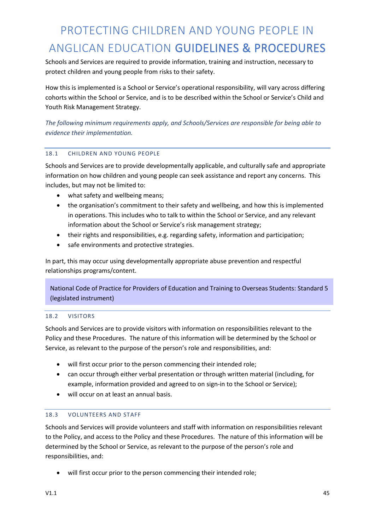Schools and Services are required to provide information, training and instruction, necessary to protect children and young people from risks to their safety.

How this is implemented is a School or Service's operational responsibility, will vary across differing cohorts within the School or Service, and is to be described within the School or Service's Child and Youth Risk Management Strategy.

*The following minimum requirements apply, and Schools/Services are responsible for being able to evidence their implementation.*

#### 18.1 CHILDREN AND YOUNG PEOPLE

Schools and Services are to provide developmentally applicable, and culturally safe and appropriate information on how children and young people can seek assistance and report any concerns. This includes, but may not be limited to:

- what safety and wellbeing means;
- the organisation's commitment to their safety and wellbeing, and how this is implemented in operations. This includes who to talk to within the School or Service, and any relevant information about the School or Service's risk management strategy;
- their rights and responsibilities, e.g. regarding safety, information and participation;
- safe environments and protective strategies.

In part, this may occur using developmentally appropriate abuse prevention and respectful relationships programs/content.

National Code of Practice for Providers of Education and Training to Overseas Students: Standard 5 (legislated instrument)

#### 18.2 VISITORS

Schools and Services are to provide visitors with information on responsibilities relevant to the Policy and these Procedures. The nature of this information will be determined by the School or Service, as relevant to the purpose of the person's role and responsibilities, and:

- will first occur prior to the person commencing their intended role;
- can occur through either verbal presentation or through written material (including, for example, information provided and agreed to on sign-in to the School or Service);
- will occur on at least an annual basis.

#### 18.3 VOLUNTEERS AND STAFF

Schools and Services will provide volunteers and staff with information on responsibilities relevant to the Policy, and access to the Policy and these Procedures. The nature of this information will be determined by the School or Service, as relevant to the purpose of the person's role and responsibilities, and:

• will first occur prior to the person commencing their intended role;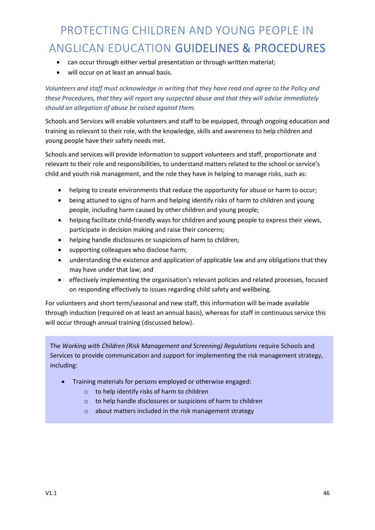- can occur through either verbal presentation or through written material;
- will occur on at least an annual basis.

*Volunteers and staff must acknowledge in writing that they have read and agree to the Policy and these Procedures, that they will report any suspected abuse and that they will advise immediately should an allegation of abuse be raised against them.*

Schools and Services will enable volunteers and staff to be equipped, through ongoing education and training as relevant to their role, with the knowledge, skills and awareness to help children and young people have their safety needs met.

Schools and services will provide information to support volunteers and staff, proportionate and relevant to their role and responsibilities, to understand matters related to the school or service's child and youth risk management, and the role they have in helping to manage risks, such as:

- helping to create environments that reduce the opportunity for abuse or harm to occur;
- being attuned to signs of harm and helping identify risks of harm to children and young people, including harm caused by other children and young people;
- helping facilitate child-friendly ways for children and young people to express their views, participate in decision making and raise their concerns;
- helping handle disclosures or suspicions of harm to children;
- supporting colleagues who disclose harm;
- understanding the existence and application of applicable law and any obligations that they may have under that law; and
- effectively implementing the organisation's relevant policies and related processes, focused on responding effectively to issues regarding child safety and wellbeing.

For volunteers and short term/seasonal and new staff, this information will be made available through induction (required on at least an annual basis), whereas for staff in continuous service this will occur through annual training (discussed below).

The *Working with Children (Risk Management and Screening) Regulations* require Schools and Services to provide communication and support for implementing the risk management strategy, including:

- Training materials for persons employed or otherwise engaged:
	- o to help identify risks of harm to children
	- o to help handle disclosures or suspicions of harm to children
	- o about matters included in the risk management strategy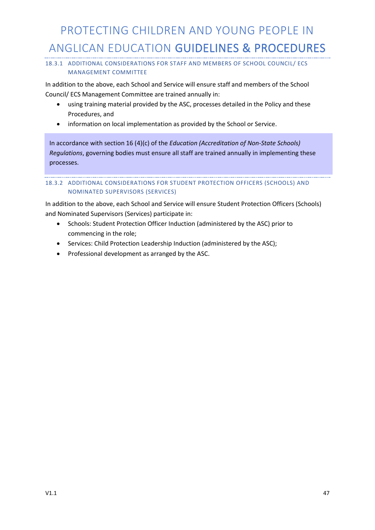#### 18.3.1 ADDITIONAL CONSIDERATIONS FOR STAFF AND MEMBERS OF SCHOOL COUNCIL/ ECS MANAGEMENT COMMITTEE

In addition to the above, each School and Service will ensure staff and members of the School Council/ ECS Management Committee are trained annually in:

- using training material provided by the ASC, processes detailed in the Policy and these Procedures, and
- information on local implementation as provided by the School or Service.

In accordance with section 16 (4)(c) of the *Education (Accreditation of Non-State Schools) Regulations*, governing bodies must ensure all staff are trained annually in implementing these processes.

#### 18.3.2 ADDITIONAL CONSIDERATIONS FOR STUDENT PROTECTION OFFICERS (SCHOOLS) AND NOMINATED SUPERVISORS (SERVICES)

In addition to the above, each School and Service will ensure Student Protection Officers (Schools) and Nominated Supervisors (Services) participate in:

- Schools: Student Protection Officer Induction (administered by the ASC) prior to commencing in the role;
- Services: Child Protection Leadership Induction (administered by the ASC);
- Professional development as arranged by the ASC.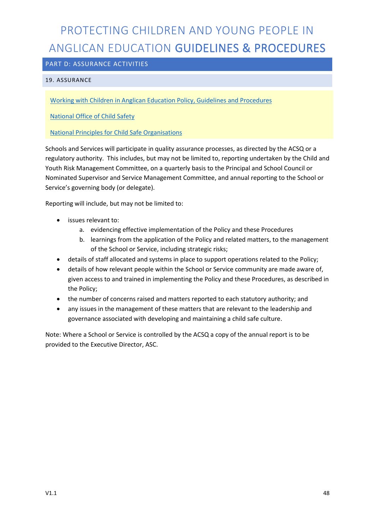#### PART D: ASSURANCE ACTIVITIES

#### 19. ASSURANCE

Working with Children in Anglican Education Policy, Guidelines and Procedures

National Office of Child Safety

National Principles for Child Safe Organisations

Schools and Services will participate in quality assurance processes, as directed by the ACSQ or a regulatory authority. This includes, but may not be limited to, reporting undertaken by the Child and Youth Risk Management Committee, on a quarterly basis to the Principal and School Council or Nominated Supervisor and Service Management Committee, and annual reporting to the School or Service's governing body (or delegate).

Reporting will include, but may not be limited to:

- issues relevant to:
	- a. evidencing effective implementation of the Policy and these Procedures
	- b. learnings from the application of the Policy and related matters, to the management of the School or Service, including strategic risks;
- details of staff allocated and systems in place to support operations related to the Policy;
- details of how relevant people within the School or Service community are made aware of, given access to and trained in implementing the Policy and these Procedures, as described in the Policy;
- the number of concerns raised and matters reported to each statutory authority; and
- any issues in the management of these matters that are relevant to the leadership and governance associated with developing and maintaining a child safe culture.

Note: Where a School or Service is controlled by the ACSQ a copy of the annual report is to be provided to the Executive Director, ASC.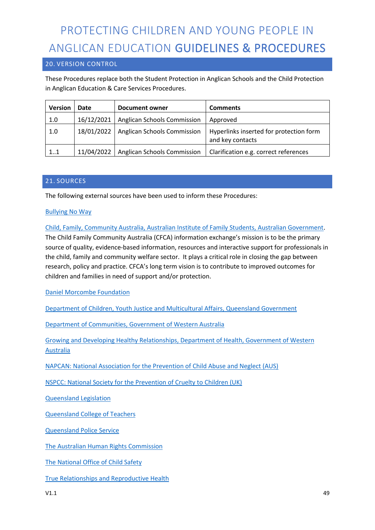#### 20. VERSION CONTROL

These Procedures replace both the Student Protection in Anglican Schools and the Child Protection in Anglican Education & Care Services Procedures.

| <b>Version</b> | Date       | <b>Document owner</b>              | <b>Comments</b>                         |
|----------------|------------|------------------------------------|-----------------------------------------|
| 1.0            | 16/12/2021 | <b>Anglican Schools Commission</b> | Approved                                |
| 1.0            | 18/01/2022 | <b>Anglican Schools Commission</b> | Hyperlinks inserted for protection form |
|                |            |                                    | and key contacts                        |
| 11             | 11/04/2022 | <b>Anglican Schools Commission</b> | Clarification e.g. correct references   |

#### 21. SOURCES

The following external sources have been used to inform these Procedures:

#### Bullying No Way

Child, Family, Community Australia, Australian Institute of Family Students, Australian Government. The Child Family Community Australia (CFCA) information exchange's mission is to be the primary source of quality, evidence-based information, resources and interactive support for professionals in the child, family and community welfare sector. It plays a critical role in closing the gap between research, policy and practice. CFCA's long term vision is to contribute to improved outcomes for children and families in need of support and/or protection.

Daniel Morcombe Foundation

Department of Children, Youth Justice and Multicultural Affairs, Queensland Government

Department of Communities, Government of Western Australia

Growing and Developing Healthy Relationships, Department of Health, Government of Western **Australia** 

NAPCAN: National Association for the Prevention of Child Abuse and Neglect (AUS)

NSPCC: National Society for the Prevention of Cruelty to Children (UK)

Queensland Legislation

Queensland College of Teachers

Queensland Police Service

The Australian Human Rights Commission

The National Office of Child Safety

True Relationships and Reproductive Health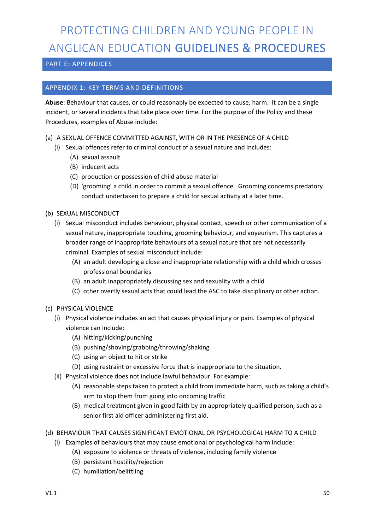#### PART E: APPENDICES

#### APPENDIX 1: KEY TERMS AND DEFINITIONS

**Abuse**: Behaviour that causes, or could reasonably be expected to cause, harm. It can be a single incident, or several incidents that take place over time. For the purpose of the Policy and these Procedures, examples of Abuse include:

- (a) A SEXUAL OFFENCE COMMITTED AGAINST, WITH OR IN THE PRESENCE OF A CHILD
	- (i) Sexual offences refer to criminal conduct of a sexual nature and includes:
		- (A) sexual assault
		- (B) indecent acts
		- (C) production or possession of child abuse material
		- (D) 'grooming' a child in order to commit a sexual offence. Grooming concerns predatory conduct undertaken to prepare a child for sexual activity at a later time.
- (b) SEXUAL MISCONDUCT
	- (i) Sexual misconduct includes behaviour, physical contact, speech or other communication of a sexual nature, inappropriate touching, grooming behaviour, and voyeurism. This captures a broader range of inappropriate behaviours of a sexual nature that are not necessarily criminal. Examples of sexual misconduct include:
		- (A) an adult developing a close and inappropriate relationship with a child which crosses professional boundaries
		- (B) an adult inappropriately discussing sex and sexuality with a child
		- (C) other overtly sexual acts that could lead the ASC to take disciplinary or other action.
- (c) PHYSICAL VIOLENCE
	- (i) Physical violence includes an act that causes physical injury or pain. Examples of physical violence can include:
		- (A) hitting/kicking/punching
		- (B) pushing/shoving/grabbing/throwing/shaking
		- (C) using an object to hit or strike
		- (D) using restraint or excessive force that is inappropriate to the situation.
	- (ii) Physical violence does not include lawful behaviour. For example:
		- (A) reasonable steps taken to protect a child from immediate harm, such as taking a child's arm to stop them from going into oncoming traffic
		- (B) medical treatment given in good faith by an appropriately qualified person, such as a senior first aid officer administering first aid.
- (d) BEHAVIOUR THAT CAUSES SIGNIFICANT EMOTIONAL OR PSYCHOLOGICAL HARM TO A CHILD
	- (i) Examples of behaviours that may cause emotional or psychological harm include:
		- (A) exposure to violence or threats of violence, including family violence
		- (B) persistent hostility/rejection
		- (C) humiliation/belittling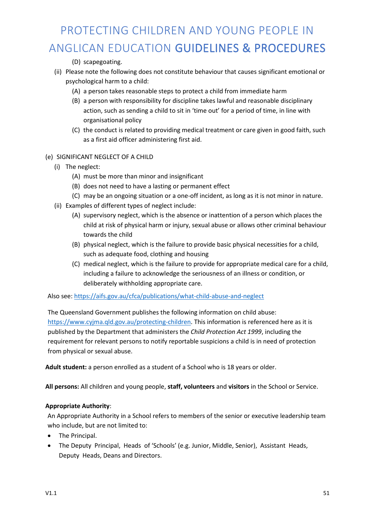(D) scapegoating.

- (ii) Please note the following does not constitute behaviour that causes significant emotional or psychological harm to a child:
	- (A) a person takes reasonable steps to protect a child from immediate harm
	- (B) a person with responsibility for discipline takes lawful and reasonable disciplinary action, such as sending a child to sit in 'time out' for a period of time, in line with organisational policy
	- (C) the conduct is related to providing medical treatment or care given in good faith, such as a first aid officer administering first aid.

#### (e) SIGNIFICANT NEGLECT OF A CHILD

- (i) The neglect:
	- (A) must be more than minor and insignificant
	- (B) does not need to have a lasting or permanent effect
	- (C) may be an ongoing situation or a one-off incident, as long as it is not minor in nature.
- (ii) Examples of different types of neglect include:
	- (A) supervisory neglect, which is the absence or inattention of a person which places the child at risk of physical harm or injury, sexual abuse or allows other criminal behaviour towards the child
	- (B) physical neglect, which is the failure to provide basic physical necessities for a child, such as adequate food, clothing and housing
	- (C) medical neglect, which is the failure to provide for appropriate medical care for a child, including a failure to acknowledge the seriousness of an illness or condition, or deliberately withholding appropriate care.

Also see: https://aifs.gov.au/cfca/publications/what-child-abuse-and-neglect

The Queensland Government publishes the following information on child abuse: https://www.cyjma.qld.gov.au/protecting-children. This information is referenced here as it is published by the Department that administers the *Child Protection Act 1999*, including the requirement for relevant persons to notify reportable suspicions a child is in need of protection from physical or sexual abuse.

**Adult student:** a person enrolled as a student of a School who is 18 years or older.

**All persons:** All children and young people, **staff, volunteers** and **visitors** in the School or Service.

#### **Appropriate Authority**:

An Appropriate Authority in a School refers to members of the senior or executive leadership team who include, but are not limited to:

- The Principal.
- The Deputy Principal, Heads of 'Schools' (e.g. Junior, Middle, Senior), Assistant Heads, Deputy Heads, Deans and Directors.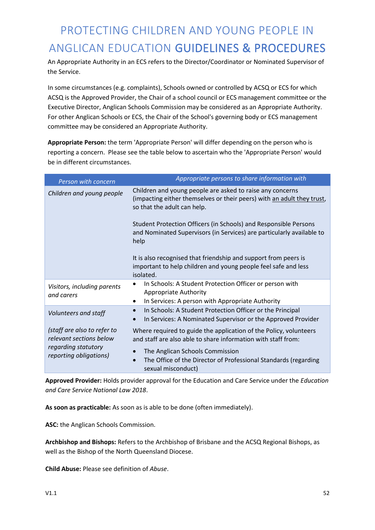An Appropriate Authority in an ECS refers to the Director/Coordinator or Nominated Supervisor of the Service.

In some circumstances (e.g. complaints), Schools owned or controlled by ACSQ or ECS for which ACSQ is the Approved Provider, the Chair of a school council or ECS management committee or the Executive Director, Anglican Schools Commission may be considered as an Appropriate Authority. For other Anglican Schools or ECS, the Chair of the School's governing body or ECS management committee may be considered an Appropriate Authority.

**Appropriate Person:** the term 'Appropriate Person' will differ depending on the person who is reporting a concern. Please see the table below to ascertain who the 'Appropriate Person' would be in different circumstances.

| Person with concern                                                           | Appropriate persons to share information with                                                                                                                      |
|-------------------------------------------------------------------------------|--------------------------------------------------------------------------------------------------------------------------------------------------------------------|
| Children and young people                                                     | Children and young people are asked to raise any concerns<br>(impacting either themselves or their peers) with an adult they trust,<br>so that the adult can help. |
|                                                                               | Student Protection Officers (in Schools) and Responsible Persons<br>and Nominated Supervisors (in Services) are particularly available to<br>help                  |
|                                                                               | It is also recognised that friendship and support from peers is<br>important to help children and young people feel safe and less<br>isolated.                     |
| Visitors, including parents<br>and carers                                     | In Schools: A Student Protection Officer or person with<br><b>Appropriate Authority</b><br>In Services: A person with Appropriate Authority<br>$\bullet$           |
| Volunteers and staff                                                          | In Schools: A Student Protection Officer or the Principal<br>$\bullet$<br>In Services: A Nominated Supervisor or the Approved Provider                             |
| (staff are also to refer to<br>relevant sections below<br>regarding statutory | Where required to guide the application of the Policy, volunteers<br>and staff are also able to share information with staff from:                                 |
| reporting obligations)                                                        | The Anglican Schools Commission<br>The Office of the Director of Professional Standards (regarding<br>$\bullet$<br>sexual misconduct)                              |

**Approved Provider:** Holds provider approval for the Education and Care Service under the *Education and Care Service National Law 2018*.

**As soon as practicable:** As soon as is able to be done (often immediately).

**ASC:** the Anglican Schools Commission.

**Archbishop and Bishops:** Refers to the Archbishop of Brisbane and the ACSQ Regional Bishops, as well as the Bishop of the North Queensland Diocese.

**Child Abuse:** Please see definition of *Abuse*.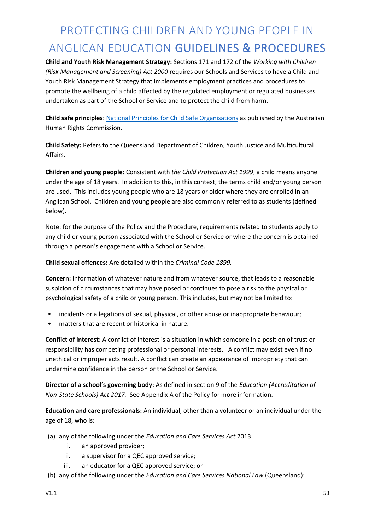**Child and Youth Risk Management Strategy:** Sections 171 and 172 of the *Working with Children (Risk Management and Screening) Act 2000* requires our Schools and Services to have a Child and Youth Risk Management Strategy that implements employment practices and procedures to promote the wellbeing of a child affected by the regulated employment or regulated businesses undertaken as part of the School or Service and to protect the child from harm.

**Child safe principles**: National Principles for Child Safe Organisations as published by the Australian Human Rights Commission.

**Child Safety:** Refers to the Queensland Department of Children, Youth Justice and Multicultural Affairs.

**Children and young people**: Consistent with *the Child Protection Act 1999*, a child means anyone under the age of 18 years. In addition to this, in this context, the terms child and/or young person are used. This includes young people who are 18 years or older where they are enrolled in an Anglican School. Children and young people are also commonly referred to as students (defined below).

Note: for the purpose of the Policy and the Procedure, requirements related to students apply to any child or young person associated with the School or Service or where the concern is obtained through a person's engagement with a School or Service.

**Child sexual offences:** Are detailed within the *Criminal Code 1899.*

**Concern:** Information of whatever nature and from whatever source, that leads to a reasonable suspicion of circumstances that may have posed or continues to pose a risk to the physical or psychological safety of a child or young person. This includes, but may not be limited to:

- incidents or allegations of sexual, physical, or other abuse or inappropriate behaviour;
- matters that are recent or historical in nature.

**Conflict of interest**: A conflict of interest is a situation in which someone in a position of trust or responsibility has competing professional or personal interests. A conflict may exist even if no unethical or improper acts result. A conflict can create an appearance of impropriety that can undermine confidence in the person or the School or Service.

**Director of a school's governing body:** As defined in section 9 of the *Education (Accreditation of Non-State Schools) Act 2017.* See Appendix A of the Policy for more information.

**Education and care professionals:** An individual, other than a volunteer or an individual under the age of 18, who is:

- (a) any of the following under the *Education and Care Services Act* 2013:
	- i. an approved provider;
	- ii. a supervisor for a QEC approved service;
	- iii. an educator for a QEC approved service; or
- (b) any of the following under the *Education and Care Services National Law* (Queensland):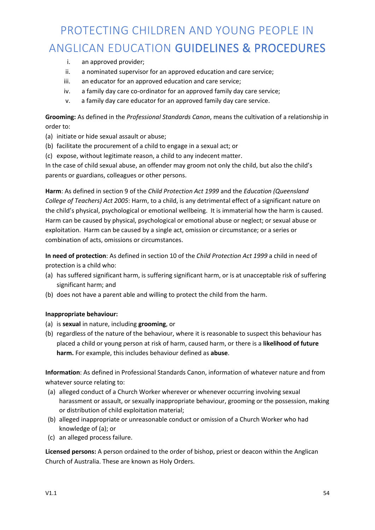- i. an approved provider;
- ii. a nominated supervisor for an approved education and care service;
- iii. an educator for an approved education and care service;
- iv. a family day care co-ordinator for an approved family day care service;
- v. a family day care educator for an approved family day care service.

**Grooming:** As defined in the *Professional Standards Canon*, means the cultivation of a relationship in order to:

- (a) initiate or hide sexual assault or abuse;
- (b) facilitate the procurement of a child to engage in a sexual act; or
- (c) expose, without legitimate reason, a child to any indecent matter.

In the case of child sexual abuse, an offender may groom not only the child, but also the child's parents or guardians, colleagues or other persons.

**Harm**: As defined in section 9 of the *Child Protection Act 1999* and the *Education (Queensland College of Teachers) Act 2005*: Harm, to a child, is any detrimental effect of a significant nature on the child's physical, psychological or emotional wellbeing. It is immaterial how the harm is caused. Harm can be caused by physical, psychological or emotional abuse or neglect; or sexual abuse or exploitation. Harm can be caused by a single act, omission or circumstance; or a series or combination of acts, omissions or circumstances.

**In need of protection**: As defined in section 10 of the *Child Protection Act 1999* a child in need of protection is a child who:

- (a) has suffered significant harm, is suffering significant harm, or is at unacceptable risk of suffering significant harm; and
- (b) does not have a parent able and willing to protect the child from the harm.

#### **Inappropriate behaviour:**

- (a) is **sexual** in nature, including **grooming**, or
- (b) regardless of the nature of the behaviour, where it is reasonable to suspect this behaviour has placed a child or young person at risk of harm, caused harm, or there is a **likelihood of future harm.** For example, this includes behaviour defined as **abuse**.

**Information**: As defined in Professional Standards Canon, information of whatever nature and from whatever source relating to:

- (a) alleged conduct of a Church Worker wherever or whenever occurring involving sexual harassment or assault, or sexually inappropriate behaviour, grooming or the possession, making or distribution of child exploitation material;
- (b) alleged inappropriate or unreasonable conduct or omission of a Church Worker who had knowledge of (a); or
- (c) an alleged process failure.

**Licensed persons:** A person ordained to the order of bishop, priest or deacon within the Anglican Church of Australia. These are known as Holy Orders.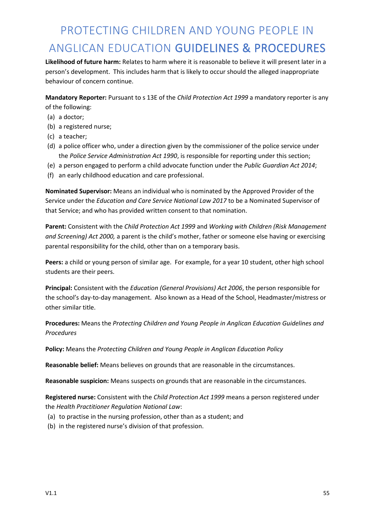**Likelihood of future harm:** Relates to harm where it is reasonable to believe it will present later in a person's development. This includes harm that is likely to occur should the alleged inappropriate behaviour of concern continue.

**Mandatory Reporter:** Pursuant to s 13E of the *Child Protection Act 1999* a mandatory reporter is any of the following:

- (a) a doctor;
- (b) a registered nurse;
- (c) a teacher;
- (d) a police officer who, under a direction given by the commissioner of the police service under the *Police Service Administration Act 1990*, is responsible for reporting under this section;
- (e) a person engaged to perform a child advocate function under the *Public Guardian Act 2014*;
- (f) an early childhood education and care professional.

**Nominated Supervisor:** Means an individual who is nominated by the Approved Provider of the Service under the *Education and Care Service National Law 2017* to be a Nominated Supervisor of that Service; and who has provided written consent to that nomination.

**Parent:** Consistent with the *Child Protection Act 1999* and *Working with Children (Risk Management and Screening) Act 2000,* a parent is the child's mother, father or someone else having or exercising parental responsibility for the child, other than on a temporary basis.

**Peers:** a child or young person of similar age. For example, for a year 10 student, other high school students are their peers.

**Principal:** Consistent with the *Education (General Provisions) Act 2006*, the person responsible for the school's day-to-day management. Also known as a Head of the School, Headmaster/mistress or other similar title.

**Procedures:** Means the *Protecting Children and Young People in Anglican Education Guidelines and Procedures*

**Policy:** Means the *Protecting Children and Young People in Anglican Education Policy*

**Reasonable belief:** Means believes on grounds that are reasonable in the circumstances.

**Reasonable suspicion:** Means suspects on grounds that are reasonable in the circumstances.

**Registered nurse:** Consistent with the *Child Protection Act 1999* means a person registered under the *Health Practitioner Regulation National Law*:

- (a) to practise in the nursing profession, other than as a student; and
- (b) in the registered nurse's division of that profession.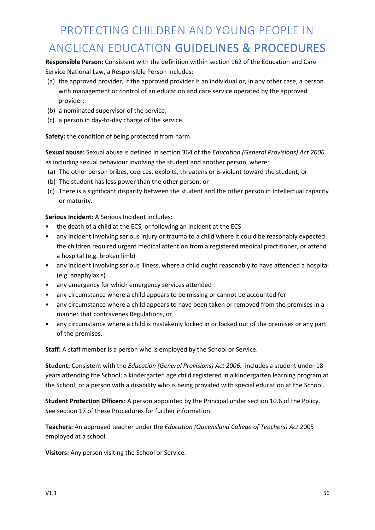**Responsible Person:** Consistent with the definition within section 162 of the Education and Care Service National Law, a Responsible Person includes:

- (a) the approved provider, if the approved provider is an individual or, in any other case, a person with management or control of an education and care service operated by the approved provider;
- (b) a nominated supervisor of the service;
- (c) a person in day-to-day charge of the service.

**Safety:** the condition of being protected from harm.

**Sexual abuse:** Sexual abuse is defined in section 364 of the *Education (General Provisions) Act 2006* as including sexual behaviour involving the student and another person, where:

- (a) The other person bribes, coerces, exploits, threatens or is violent toward the student; or
- (b) The student has less power than the other person; or
- (c) There is a significant disparity between the student and the other person in intellectual capacity or maturity.

**Serious Incident:** A Serious Incident includes:

- the death of a child at the ECS, or following an incident at the ECS
- any incident involving serious injury or trauma to a child where it could be reasonably expected the children required urgent medical attention from a registered medical practitioner, or attend a hospital (e.g. broken limb)
- any incident involving serious illness, where a child ought reasonably to have attended a hospital (e.g. anaphylaxis)
- any emergency for which emergency services attended
- any circumstance where a child appears to be missing or cannot be accounted for
- any circumstance where a child appears to have been taken or removed from the premises in a manner that contravenes Regulations, or
- any circumstance where a child is mistakenly locked in or locked out of the premises or any part of the premises.

**Staff:** A staff member is a person who is employed by the School or Service.

**Student:** Consistent with the *Education (General Provisions) Act 2006,* includes a student under 18 years attending the School; a kindergarten age child registered in a kindergarten learning program at the School; or a person with a disability who is being provided with special education at the School.

**Student Protection Officers:** A person appointed by the Principal under section 10.6 of the Policy. See section 17 of these Procedures for further information.

**Teachers:** An approved teacher under the *Education (Queensland College of Teachers) Act* 2005 employed at a school.

**Visitors:** Any person visiting the School or Service.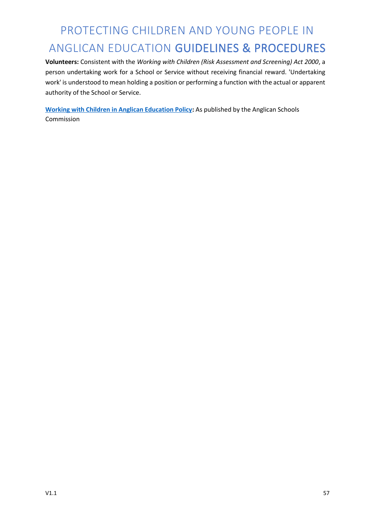**Volunteers:** Consistent with the *Working with Children (Risk Assessment and Screening) Act 2000*, a person undertaking work for a School or Service without receiving financial reward. 'Undertaking work' is understood to mean holding a position or performing a function with the actual or apparent authority of the School or Service.

**Working with Children in Anglican Education Policy:** As published by the Anglican Schools Commission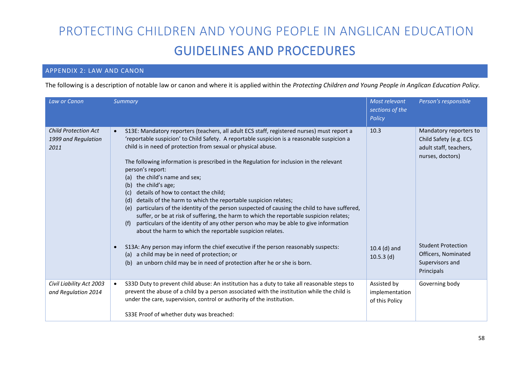#### APPENDIX 2: LAW AND CANON

The following is a description of notable law or canon and where it is applied within the *Protecting Children and Young People in Anglican Education Policy.*

| Law or Canon                                               | Summary                                                                                                                                                                                                                                                                                                                                                                                                                                                                                                                                                                                                                                                                                                                                                                                                                                                                                                                                                                                                                                                                                                                                                       | Most relevant<br>sections of the<br>Policy      | Person's responsible                                                                                                                                                                |
|------------------------------------------------------------|---------------------------------------------------------------------------------------------------------------------------------------------------------------------------------------------------------------------------------------------------------------------------------------------------------------------------------------------------------------------------------------------------------------------------------------------------------------------------------------------------------------------------------------------------------------------------------------------------------------------------------------------------------------------------------------------------------------------------------------------------------------------------------------------------------------------------------------------------------------------------------------------------------------------------------------------------------------------------------------------------------------------------------------------------------------------------------------------------------------------------------------------------------------|-------------------------------------------------|-------------------------------------------------------------------------------------------------------------------------------------------------------------------------------------|
| <b>Child Protection Act</b><br>1999 and Regulation<br>2011 | S13E: Mandatory reporters (teachers, all adult ECS staff, registered nurses) must report a<br>'reportable suspicion' to Child Safety. A reportable suspicion is a reasonable suspicion a<br>child is in need of protection from sexual or physical abuse.<br>The following information is prescribed in the Regulation for inclusion in the relevant<br>person's report:<br>the child's name and sex;<br>(a)<br>the child's age;<br>(b)<br>details of how to contact the child;<br>(c)<br>details of the harm to which the reportable suspicion relates;<br>(d)<br>particulars of the identity of the person suspected of causing the child to have suffered,<br>(e)<br>suffer, or be at risk of suffering, the harm to which the reportable suspicion relates;<br>particulars of the identity of any other person who may be able to give information<br>(f)<br>about the harm to which the reportable suspicion relates.<br>S13A: Any person may inform the chief executive if the person reasonably suspects:<br>$\bullet$<br>(a) a child may be in need of protection; or<br>an unborn child may be in need of protection after he or she is born.<br>(b) | 10.3<br>10.4 (d) and<br>$10.5.3$ (d)            | Mandatory reporters to<br>Child Safety (e.g. ECS<br>adult staff, teachers,<br>nurses, doctors)<br><b>Student Protection</b><br>Officers, Nominated<br>Supervisors and<br>Principals |
| Civil Liability Act 2003<br>and Regulation 2014            | S33D Duty to prevent child abuse: An institution has a duty to take all reasonable steps to<br>$\bullet$<br>prevent the abuse of a child by a person associated with the institution while the child is<br>under the care, supervision, control or authority of the institution.<br>S33E Proof of whether duty was breached:                                                                                                                                                                                                                                                                                                                                                                                                                                                                                                                                                                                                                                                                                                                                                                                                                                  | Assisted by<br>implementation<br>of this Policy | Governing body                                                                                                                                                                      |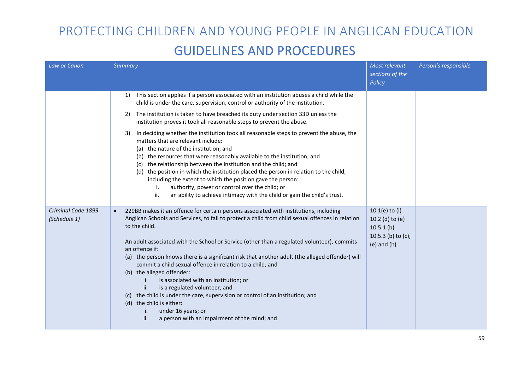| Law or Canon                       | Summary                                                                                                                                                                                                                                                                                                                                                                                                                                                                                                                                                                                                                                                                                                                                                                                                                | Most relevant<br>sections of the<br>Policy                                                | Person's responsible |
|------------------------------------|------------------------------------------------------------------------------------------------------------------------------------------------------------------------------------------------------------------------------------------------------------------------------------------------------------------------------------------------------------------------------------------------------------------------------------------------------------------------------------------------------------------------------------------------------------------------------------------------------------------------------------------------------------------------------------------------------------------------------------------------------------------------------------------------------------------------|-------------------------------------------------------------------------------------------|----------------------|
|                                    | This section applies if a person associated with an institution abuses a child while the<br>1)<br>child is under the care, supervision, control or authority of the institution.                                                                                                                                                                                                                                                                                                                                                                                                                                                                                                                                                                                                                                       |                                                                                           |                      |
|                                    | The institution is taken to have breached its duty under section 33D unless the<br>2)<br>institution proves it took all reasonable steps to prevent the abuse.                                                                                                                                                                                                                                                                                                                                                                                                                                                                                                                                                                                                                                                         |                                                                                           |                      |
|                                    | In deciding whether the institution took all reasonable steps to prevent the abuse, the<br>3)<br>matters that are relevant include:<br>(a) the nature of the institution; and<br>(b) the resources that were reasonably available to the institution; and<br>(c) the relationship between the institution and the child; and<br>(d) the position in which the institution placed the person in relation to the child,<br>including the extent to which the position gave the person:<br>authority, power or control over the child; or<br>i.<br>ii.<br>an ability to achieve intimacy with the child or gain the child's trust.                                                                                                                                                                                        |                                                                                           |                      |
| Criminal Code 1899<br>(Schedule 1) | 229BB makes it an offence for certain persons associated with institutions, including<br>$\bullet$<br>Anglican Schools and Services, to fail to protect a child from child sexual offences in relation<br>to the child.<br>An adult associated with the School or Service (other than a regulated volunteer), commits<br>an offence if:<br>(a) the person knows there is a significant risk that another adult (the alleged offender) will<br>commit a child sexual offence in relation to a child; and<br>(b) the alleged offender:<br>is associated with an institution; or<br>i.<br>is a regulated volunteer; and<br>ii.<br>(c) the child is under the care, supervision or control of an institution; and<br>(d) the child is either:<br>under 16 years; or<br>a person with an impairment of the mind; and<br>ii. | $10.1(e)$ to (i)<br>10.2 (d) to (e)<br>10.5.1(b)<br>10.5.3 (b) to (c),<br>$(e)$ and $(h)$ |                      |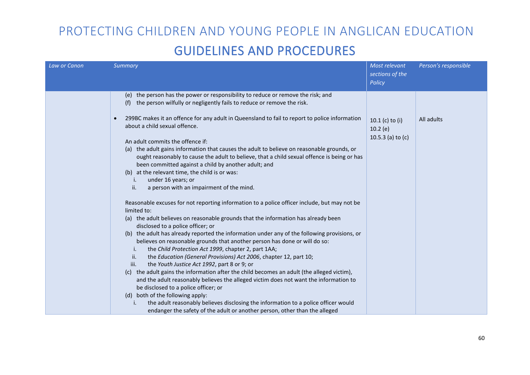| Law or Canon | Summary                                                                                                                                                                                                                                                                                                                                                                                                                                                                                                                                                                                                                                                                                                                                                                                                                                                                                                                                                  | Most relevant<br>sections of the<br>Policy            | Person's responsible |
|--------------|----------------------------------------------------------------------------------------------------------------------------------------------------------------------------------------------------------------------------------------------------------------------------------------------------------------------------------------------------------------------------------------------------------------------------------------------------------------------------------------------------------------------------------------------------------------------------------------------------------------------------------------------------------------------------------------------------------------------------------------------------------------------------------------------------------------------------------------------------------------------------------------------------------------------------------------------------------|-------------------------------------------------------|----------------------|
|              | the person has the power or responsibility to reduce or remove the risk; and<br>(e)<br>the person wilfully or negligently fails to reduce or remove the risk.<br>(f)<br>299BC makes it an offence for any adult in Queensland to fail to report to police information<br>$\bullet$<br>about a child sexual offence.<br>An adult commits the offence if:<br>(a) the adult gains information that causes the adult to believe on reasonable grounds, or<br>ought reasonably to cause the adult to believe, that a child sexual offence is being or has<br>been committed against a child by another adult; and<br>(b) at the relevant time, the child is or was:<br>under 16 years; or<br>i.<br>ii.<br>a person with an impairment of the mind.<br>Reasonable excuses for not reporting information to a police officer include, but may not be<br>limited to:                                                                                             | 10.1 $(c)$ to $(i)$<br>10.2(e)<br>10.5.3 (a) to $(c)$ | All adults           |
|              | (a) the adult believes on reasonable grounds that the information has already been<br>disclosed to a police officer; or<br>the adult has already reported the information under any of the following provisions, or<br>(b)<br>believes on reasonable grounds that another person has done or will do so:<br>the Child Protection Act 1999, chapter 2, part 1AA;<br>i.<br>the Education (General Provisions) Act 2006, chapter 12, part 10;<br>ii.<br>the Youth Justice Act 1992, part 8 or 9; or<br>iii.<br>(c) the adult gains the information after the child becomes an adult (the alleged victim),<br>and the adult reasonably believes the alleged victim does not want the information to<br>be disclosed to a police officer; or<br>both of the following apply:<br>(d)<br>the adult reasonably believes disclosing the information to a police officer would<br>i.<br>endanger the safety of the adult or another person, other than the alleged |                                                       |                      |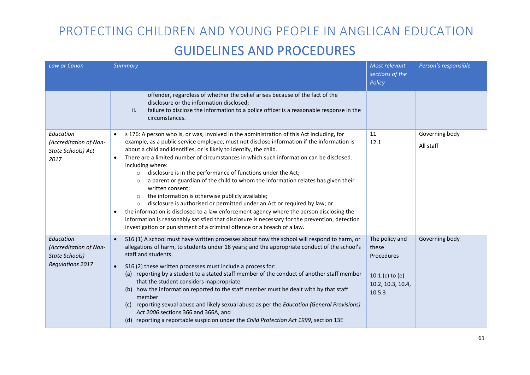| Law or Canon                                                                            | Summary                                                                                                                                                                                                                                                                                                                                                                                                                                                                                                                                                                                                                                                                                                                                                                                                                                                                                                                                                                                                     | Most relevant<br>sections of the<br>Policy                                               | Person's responsible        |
|-----------------------------------------------------------------------------------------|-------------------------------------------------------------------------------------------------------------------------------------------------------------------------------------------------------------------------------------------------------------------------------------------------------------------------------------------------------------------------------------------------------------------------------------------------------------------------------------------------------------------------------------------------------------------------------------------------------------------------------------------------------------------------------------------------------------------------------------------------------------------------------------------------------------------------------------------------------------------------------------------------------------------------------------------------------------------------------------------------------------|------------------------------------------------------------------------------------------|-----------------------------|
|                                                                                         | offender, regardless of whether the belief arises because of the fact of the<br>disclosure or the information disclosed;<br>failure to disclose the information to a police officer is a reasonable response in the<br>ii.<br>circumstances.                                                                                                                                                                                                                                                                                                                                                                                                                                                                                                                                                                                                                                                                                                                                                                |                                                                                          |                             |
| Education<br>(Accreditation of Non-<br>State Schools) Act<br>2017                       | s 176: A person who is, or was, involved in the administration of this Act including, for<br>example, as a public service employee, must not disclose information if the information is<br>about a child and identifies, or is likely to identify, the child.<br>There are a limited number of circumstances in which such information can be disclosed.<br>including where:<br>disclosure is in the performance of functions under the Act;<br>$\circ$<br>a parent or guardian of the child to whom the information relates has given their<br>$\circ$<br>written consent;<br>the information is otherwise publicly available;<br>$\circ$<br>disclosure is authorised or permitted under an Act or required by law; or<br>$\circ$<br>the information is disclosed to a law enforcement agency where the person disclosing the<br>information is reasonably satisfied that disclosure is necessary for the prevention, detection<br>investigation or punishment of a criminal offence or a breach of a law. | 11<br>12.1                                                                               | Governing body<br>All staff |
| Education<br>(Accreditation of Non-<br><b>State Schools)</b><br><b>Regulations 2017</b> | S16 (1) A school must have written processes about how the school will respond to harm, or<br>$\bullet$<br>allegations of harm, to students under 18 years; and the appropriate conduct of the school's<br>staff and students.<br>S16 (2) these written processes must include a process for:<br>$\bullet$<br>(a) reporting by a student to a stated staff member of the conduct of another staff member<br>that the student considers inappropriate<br>how the information reported to the staff member must be dealt with by that staff<br>(b)<br>member<br>(c) reporting sexual abuse and likely sexual abuse as per the Education (General Provisions)<br>Act 2006 sections 366 and 366A, and<br>(d) reporting a reportable suspicion under the Child Protection Act 1999, section 13E                                                                                                                                                                                                                  | The policy and<br>these<br>Procedures<br>$10.1(c)$ to (e)<br>10.2, 10.3, 10.4,<br>10.5.3 | Governing body              |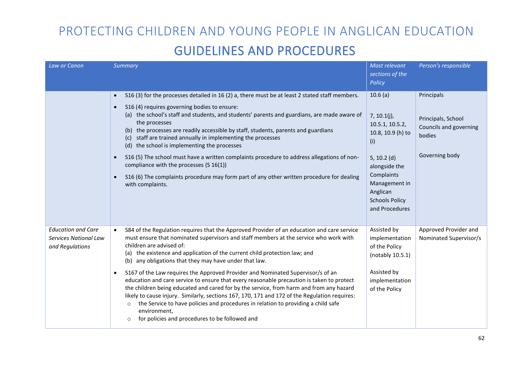| Law or Canon                                                          | Summary                                                                                                                                                                                                                                                                                                                                                                                                                                                                                                                                                                                                                                                                                                                                                                                                                                                                                                                                    | Most relevant<br>sections of the<br>Policy                                                                                                                                                       | Person's responsible                                                                   |
|-----------------------------------------------------------------------|--------------------------------------------------------------------------------------------------------------------------------------------------------------------------------------------------------------------------------------------------------------------------------------------------------------------------------------------------------------------------------------------------------------------------------------------------------------------------------------------------------------------------------------------------------------------------------------------------------------------------------------------------------------------------------------------------------------------------------------------------------------------------------------------------------------------------------------------------------------------------------------------------------------------------------------------|--------------------------------------------------------------------------------------------------------------------------------------------------------------------------------------------------|----------------------------------------------------------------------------------------|
|                                                                       | S16 (3) for the processes detailed in 16 (2) a, there must be at least 2 stated staff members.<br>$\bullet$<br>S16 (4) requires governing bodies to ensure:<br>$\bullet$<br>(a) the school's staff and students, and students' parents and guardians, are made aware of<br>the processes<br>(b) the processes are readily accessible by staff, students, parents and guardians<br>(c) staff are trained annually in implementing the processes<br>(d) the school is implementing the processes<br>S16 (5) The school must have a written complaints procedure to address allegations of non-<br>$\bullet$<br>compliance with the processes (S 16(1))<br>S16 (6) The complaints procedure may form part of any other written procedure for dealing<br>$\bullet$<br>with complaints.                                                                                                                                                         | 10.6(a)<br>$7, 10.1(j)$ ,<br>10.5.1, 10.5.2,<br>10.8, 10.9 (h) to<br>(i)<br>5, 10.2 $(d)$<br>alongside the<br>Complaints<br>Management in<br>Anglican<br><b>Schools Policy</b><br>and Procedures | Principals<br>Principals, School<br>Councils and governing<br>bodies<br>Governing body |
| <b>Education and Care</b><br>Services National Law<br>and Regulations | S84 of the Regulation requires that the Approved Provider of an education and care service<br>$\bullet$<br>must ensure that nominated supervisors and staff members at the service who work with<br>children are advised of:<br>(a) the existence and application of the current child protection law; and<br>(b) any obligations that they may have under that law.<br>S167 of the Law requires the Approved Provider and Nominated Supervisor/s of an<br>$\bullet$<br>education and care service to ensure that every reasonable precaution is taken to protect<br>the children being educated and cared for by the service, from harm and from any hazard<br>likely to cause injury. Similarly, sections 167, 170, 171 and 172 of the Regulation requires:<br>the Service to have policies and procedures in relation to providing a child safe<br>$\circ$<br>environment,<br>for policies and procedures to be followed and<br>$\circ$ | Assisted by<br>implementation<br>of the Policy<br>(notably 10.5.1)<br>Assisted by<br>implementation<br>of the Policy                                                                             | Approved Provider and<br>Nominated Supervisor/s                                        |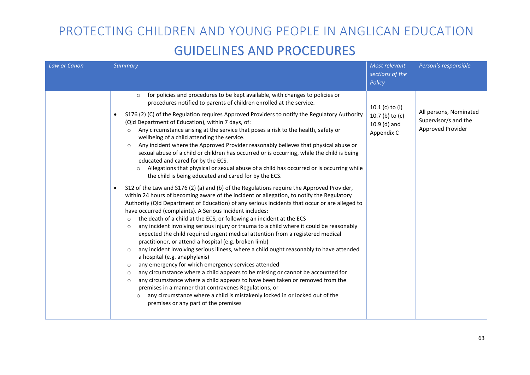| Law or Canon | <b>Summary</b>                                                                                                                                                                                                                                                                                                                                                                                                                                                                                                                                                                                                                                                                                                                                                                                                                                                                                                                                                                                                                                                                                                                                                                                                                                                                                                                                                                                                                                                                                                                                                                                                                                                                                                                                                                                                                                                                                                                                                                                                                                                                                                                                           | Most relevant<br>sections of the<br>Policy                             | Person's responsible                                                |
|--------------|----------------------------------------------------------------------------------------------------------------------------------------------------------------------------------------------------------------------------------------------------------------------------------------------------------------------------------------------------------------------------------------------------------------------------------------------------------------------------------------------------------------------------------------------------------------------------------------------------------------------------------------------------------------------------------------------------------------------------------------------------------------------------------------------------------------------------------------------------------------------------------------------------------------------------------------------------------------------------------------------------------------------------------------------------------------------------------------------------------------------------------------------------------------------------------------------------------------------------------------------------------------------------------------------------------------------------------------------------------------------------------------------------------------------------------------------------------------------------------------------------------------------------------------------------------------------------------------------------------------------------------------------------------------------------------------------------------------------------------------------------------------------------------------------------------------------------------------------------------------------------------------------------------------------------------------------------------------------------------------------------------------------------------------------------------------------------------------------------------------------------------------------------------|------------------------------------------------------------------------|---------------------------------------------------------------------|
|              | for policies and procedures to be kept available, with changes to policies or<br>$\circ$<br>procedures notified to parents of children enrolled at the service.<br>S176 (2) (C) of the Regulation requires Approved Providers to notify the Regulatory Authority<br>(Qld Department of Education), within 7 days, of:<br>Any circumstance arising at the service that poses a risk to the health, safety or<br>$\circ$<br>wellbeing of a child attending the service.<br>Any incident where the Approved Provider reasonably believes that physical abuse or<br>$\circ$<br>sexual abuse of a child or children has occurred or is occurring, while the child is being<br>educated and cared for by the ECS.<br>Allegations that physical or sexual abuse of a child has occurred or is occurring while<br>the child is being educated and cared for by the ECS.<br>S12 of the Law and S176 (2) (a) and (b) of the Regulations require the Approved Provider,<br>within 24 hours of becoming aware of the incident or allegation, to notify the Regulatory<br>Authority (Qld Department of Education) of any serious incidents that occur or are alleged to<br>have occurred (complaints). A Serious Incident includes:<br>the death of a child at the ECS, or following an incident at the ECS<br>$\circ$<br>any incident involving serious injury or trauma to a child where it could be reasonably<br>$\circ$<br>expected the child required urgent medical attention from a registered medical<br>practitioner, or attend a hospital (e.g. broken limb)<br>any incident involving serious illness, where a child ought reasonably to have attended<br>$\circ$<br>a hospital (e.g. anaphylaxis)<br>any emergency for which emergency services attended<br>$\circ$<br>any circumstance where a child appears to be missing or cannot be accounted for<br>$\circ$<br>any circumstance where a child appears to have been taken or removed from the<br>$\circ$<br>premises in a manner that contravenes Regulations, or<br>any circumstance where a child is mistakenly locked in or locked out of the<br>$\circ$<br>premises or any part of the premises | 10.1 $(c)$ to $(i)$<br>10.7 (b) to (c)<br>$10.9$ (d) and<br>Appendix C | All persons, Nominated<br>Supervisor/s and the<br>Approved Provider |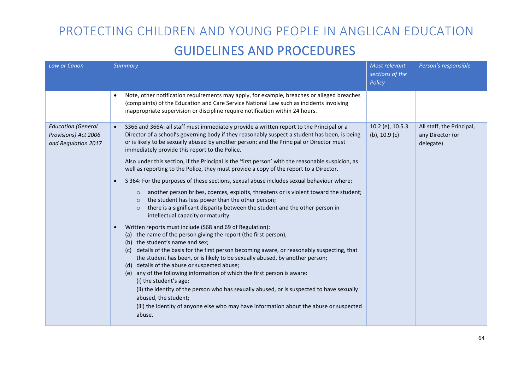| Law or Canon                                                             | Summary                                                                                                                                                                                                                                                                                                                                                                                                                                                                                                                                                                                                                                                                                                                            | Most relevant<br>sections of the<br>Policy | Person's responsible                                       |
|--------------------------------------------------------------------------|------------------------------------------------------------------------------------------------------------------------------------------------------------------------------------------------------------------------------------------------------------------------------------------------------------------------------------------------------------------------------------------------------------------------------------------------------------------------------------------------------------------------------------------------------------------------------------------------------------------------------------------------------------------------------------------------------------------------------------|--------------------------------------------|------------------------------------------------------------|
|                                                                          | Note, other notification requirements may apply, for example, breaches or alleged breaches<br>$\bullet$<br>(complaints) of the Education and Care Service National Law such as incidents involving<br>inappropriate supervision or discipline require notification within 24 hours.                                                                                                                                                                                                                                                                                                                                                                                                                                                |                                            |                                                            |
| <b>Education (General</b><br>Provisions) Act 2006<br>and Regulation 2017 | S366 and 366A: all staff must immediately provide a written report to the Principal or a<br>$\bullet$<br>Director of a school's governing body if they reasonably suspect a student has been, is being<br>or is likely to be sexually abused by another person; and the Principal or Director must<br>immediately provide this report to the Police.                                                                                                                                                                                                                                                                                                                                                                               | 10.2 (e), 10.5.3<br>$(b)$ , 10.9 $(c)$     | All staff, the Principal,<br>any Director (or<br>delegate) |
|                                                                          | Also under this section, if the Principal is the 'first person' with the reasonable suspicion, as<br>well as reporting to the Police, they must provide a copy of the report to a Director.                                                                                                                                                                                                                                                                                                                                                                                                                                                                                                                                        |                                            |                                                            |
|                                                                          | S 364: For the purposes of these sections, sexual abuse includes sexual behaviour where:<br>$\bullet$                                                                                                                                                                                                                                                                                                                                                                                                                                                                                                                                                                                                                              |                                            |                                                            |
|                                                                          | another person bribes, coerces, exploits, threatens or is violent toward the student;<br>$\circ$<br>the student has less power than the other person;<br>$\circ$<br>there is a significant disparity between the student and the other person in<br>$\circ$<br>intellectual capacity or maturity.                                                                                                                                                                                                                                                                                                                                                                                                                                  |                                            |                                                            |
|                                                                          | Written reports must include (S68 and 69 of Regulation):<br>(a) the name of the person giving the report (the first person);<br>(b) the student's name and sex;<br>details of the basis for the first person becoming aware, or reasonably suspecting, that<br>(c)<br>the student has been, or is likely to be sexually abused, by another person;<br>(d) details of the abuse or suspected abuse;<br>(e) any of the following information of which the first person is aware:<br>(i) the student's age;<br>(ii) the identity of the person who has sexually abused, or is suspected to have sexually<br>abused, the student;<br>(iii) the identity of anyone else who may have information about the abuse or suspected<br>abuse. |                                            |                                                            |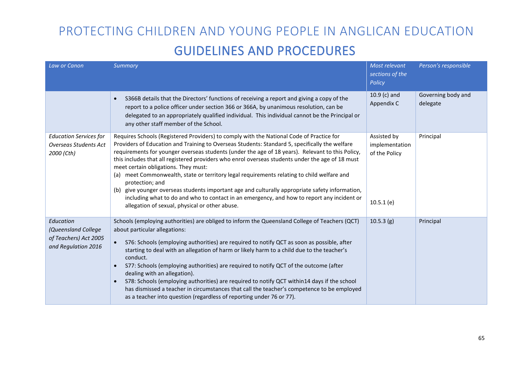| Law or Canon                                                                     | Summary                                                                                                                                                                                                                                                                                                                                                                                                                                                                                                                                                                                                                                                                                                                                                                                                           | Most relevant<br>sections of the<br>Policy                  | Person's responsible           |
|----------------------------------------------------------------------------------|-------------------------------------------------------------------------------------------------------------------------------------------------------------------------------------------------------------------------------------------------------------------------------------------------------------------------------------------------------------------------------------------------------------------------------------------------------------------------------------------------------------------------------------------------------------------------------------------------------------------------------------------------------------------------------------------------------------------------------------------------------------------------------------------------------------------|-------------------------------------------------------------|--------------------------------|
|                                                                                  | S366B details that the Directors' functions of receiving a report and giving a copy of the<br>$\bullet$<br>report to a police officer under section 366 or 366A, by unanimous resolution, can be<br>delegated to an appropriately qualified individual. This individual cannot be the Principal or<br>any other staff member of the School.                                                                                                                                                                                                                                                                                                                                                                                                                                                                       | $10.9$ (c) and<br>Appendix C                                | Governing body and<br>delegate |
| <b>Education Services for</b><br>Overseas Students Act<br>2000 (Cth)             | Requires Schools (Registered Providers) to comply with the National Code of Practice for<br>Providers of Education and Training to Overseas Students: Standard 5, specifically the welfare<br>requirements for younger overseas students (under the age of 18 years). Relevant to this Policy,<br>this includes that all registered providers who enrol overseas students under the age of 18 must<br>meet certain obligations. They must:<br>(a) meet Commonwealth, state or territory legal requirements relating to child welfare and<br>protection; and<br>give younger overseas students important age and culturally appropriate safety information,<br>(b)<br>including what to do and who to contact in an emergency, and how to report any incident or<br>allegation of sexual, physical or other abuse. | Assisted by<br>implementation<br>of the Policy<br>10.5.1(e) | Principal                      |
| Education<br>(Queensland College<br>of Teachers) Act 2005<br>and Regulation 2016 | Schools (employing authorities) are obliged to inform the Queensland College of Teachers (QCT)<br>about particular allegations:<br>S76: Schools (employing authorities) are required to notify QCT as soon as possible, after<br>$\bullet$<br>starting to deal with an allegation of harm or likely harm to a child due to the teacher's<br>conduct.<br>S77: Schools (employing authorities) are required to notify QCT of the outcome (after<br>$\bullet$<br>dealing with an allegation).<br>S78: Schools (employing authorities) are required to notify QCT within14 days if the school<br>$\bullet$<br>has dismissed a teacher in circumstances that call the teacher's competence to be employed<br>as a teacher into question (regardless of reporting under 76 or 77).                                      | 10.5.3(g)                                                   | Principal                      |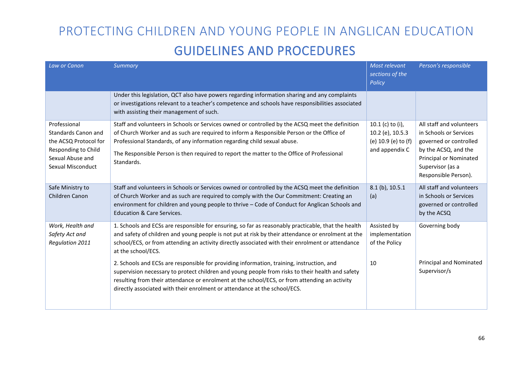| Law or Canon                                                                                                                 | Summary                                                                                                                                                                                                                                                                                                                                                                              | Most relevant<br>sections of the<br>Policy                                    | Person's responsible                                                                                                                                                              |
|------------------------------------------------------------------------------------------------------------------------------|--------------------------------------------------------------------------------------------------------------------------------------------------------------------------------------------------------------------------------------------------------------------------------------------------------------------------------------------------------------------------------------|-------------------------------------------------------------------------------|-----------------------------------------------------------------------------------------------------------------------------------------------------------------------------------|
|                                                                                                                              | Under this legislation, QCT also have powers regarding information sharing and any complaints<br>or investigations relevant to a teacher's competence and schools have responsibilities associated<br>with assisting their management of such.                                                                                                                                       |                                                                               |                                                                                                                                                                                   |
| Professional<br>Standards Canon and<br>the ACSQ Protocol for<br>Responding to Child<br>Sexual Abuse and<br>Sexual Misconduct | Staff and volunteers in Schools or Services owned or controlled by the ACSQ meet the definition<br>of Church Worker and as such are required to inform a Responsible Person or the Office of<br>Professional Standards, of any information regarding child sexual abuse.<br>The Responsible Person is then required to report the matter to the Office of Professional<br>Standards. | 10.1 (c) to (i),<br>10.2 (e), 10.5.3<br>(e) 10.9 (e) to (f)<br>and appendix C | All staff and volunteers<br>in Schools or Services<br>governed or controlled<br>by the ACSQ, and the<br><b>Principal or Nominated</b><br>Supervisor (as a<br>Responsible Person). |
| Safe Ministry to<br>Children Canon                                                                                           | Staff and volunteers in Schools or Services owned or controlled by the ACSQ meet the definition<br>of Church Worker and as such are required to comply with the Our Commitment: Creating an<br>environment for children and young people to thrive - Code of Conduct for Anglican Schools and<br><b>Education &amp; Care Services.</b>                                               | $8.1$ (b), $10.5.1$<br>(a)                                                    | All staff and volunteers<br>in Schools or Services<br>governed or controlled<br>by the ACSQ                                                                                       |
| Work, Health and<br>Safety Act and<br>Regulation 2011                                                                        | 1. Schools and ECSs are responsible for ensuring, so far as reasonably practicable, that the health<br>and safety of children and young people is not put at risk by their attendance or enrolment at the<br>school/ECS, or from attending an activity directly associated with their enrolment or attendance<br>at the school/ECS.                                                  | Assisted by<br>implementation<br>of the Policy                                | Governing body                                                                                                                                                                    |
|                                                                                                                              | 2. Schools and ECSs are responsible for providing information, training, instruction, and<br>supervision necessary to protect children and young people from risks to their health and safety<br>resulting from their attendance or enrolment at the school/ECS, or from attending an activity<br>directly associated with their enrolment or attendance at the school/ECS.          | 10                                                                            | Principal and Nominated<br>Supervisor/s                                                                                                                                           |